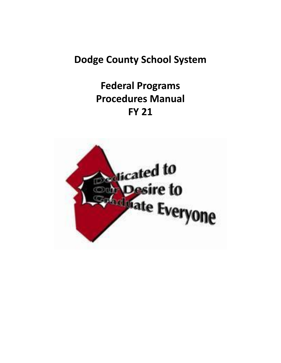# **Dodge County School System**

# **Federal Programs Procedures Manual FY 21**

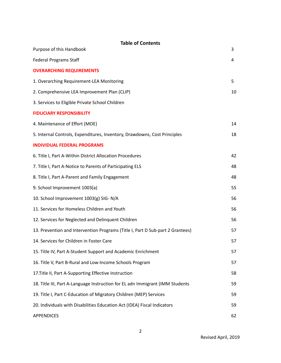| <b>Table of Contents</b><br>Purpose of this Handbook                           | 3  |
|--------------------------------------------------------------------------------|----|
|                                                                                |    |
| <b>Federal Programs Staff</b>                                                  | 4  |
| <b>OVERARCHING REQUIREMENTS</b>                                                |    |
| 1. Overarching Requirement-LEA Monitoring                                      | 5  |
| 2. Comprehensive LEA Improvement Plan (CLIP)                                   | 10 |
| 3. Services to Eligible Private School Children                                |    |
| <b>FIDUCIARY RESPONSIBILITY</b>                                                |    |
| 4. Maintenance of Effort (MOE)                                                 | 14 |
| 5. Internal Controls, Expenditures, Inventory, Drawdowns, Cost Principles      | 18 |
| <b>INDIVIDUAL FEDERAL PROGRAMS</b>                                             |    |
| 6. Title I, Part A-Within District Allocation Procedures                       | 42 |
| 7. Title I, Part A-Notice to Parents of Participating ELS                      | 48 |
| 8. Title I, Part A-Parent and Family Engagement                                | 48 |
| 9. School Improvement 1003(a)                                                  | 55 |
| 10. School Improvement 1003(g) SIG-N/A                                         | 56 |
| 11. Services for Homeless Children and Youth                                   | 56 |
| 12. Services for Neglected and Delinquent Children                             | 56 |
| 13. Prevention and Intervention Programs (Title I, Part D Sub-part 2 Grantees) | 57 |
| 14. Services for Children in Foster Care                                       | 57 |
| 15. Title IV, Part A-Student Support and Academic Enrichment                   | 57 |
| 16. Title V, Part B-Rural and Low-Income Schools Program                       | 57 |
| 17. Title II, Part A-Supporting Effective Instruction                          | 58 |
| 18. Title III, Part A-Language Instruction for EL adn Immigrant (IMM Students  | 59 |
| 19. Title I, Part C-Education of Migratory Children (MEP) Services             | 59 |
| 20. Individuals with Disabilities Education Act (IDEA) Fiscal Indicators       | 59 |
| <b>APPENDICES</b>                                                              | 62 |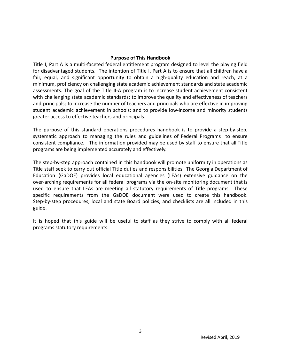#### **Purpose of This Handbook**

Title I, Part A is a multi-faceted federal entitlement program designed to level the playing field for disadvantaged students. The intention of Title I, Part A is to ensure that all children have a fair, equal, and significant opportunity to obtain a high-quality education and reach, at a minimum, proficiency on challenging state academic achievement standards and state academic assessments. The goal of the Title II-A program is to increase student achievement consistent with challenging state academic standards; to improve the quality and effectiveness of teachers and principals; to increase the number of teachers and principals who are effective in improving student academic achievement in schools; and to provide low-income and minority students greater access to effective teachers and principals.

The purpose of this standard operations procedures handbook is to provide a step-by-step, systematic approach to managing the rules and guidelines of Federal Programs to ensure consistent compliance. The information provided may be used by staff to ensure that all Title programs are being implemented accurately and effectively.

The step-by-step approach contained in this handbook will promote uniformity in operations as Title staff seek to carry out official Title duties and responsibilities. The Georgia Department of Education (GaDOE) provides local educational agencies (LEAs) extensive guidance on the over-arching requirements for all federal programs via the on-site monitoring document that is used to ensure that LEAs are meeting all statutory requirements of Title programs. These specific requirements from the GaDOE document were used to create this handbook. Step-by-step procedures, local and state Board policies, and checklists are all included in this guide.

It is hoped that this guide will be useful to staff as they strive to comply with all federal programs statutory requirements.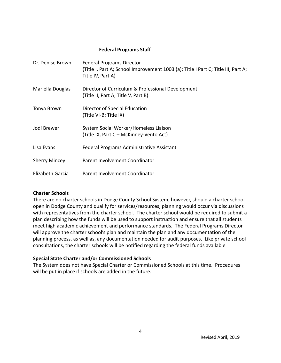#### **Federal Programs Staff**

| Dr. Denise Brown     | <b>Federal Programs Director</b><br>(Title I, Part A; School Improvement 1003 (a); Title I Part C; Title III, Part A;<br>Title IV, Part A) |
|----------------------|--------------------------------------------------------------------------------------------------------------------------------------------|
| Mariella Douglas     | Director of Curriculum & Professional Development<br>(Title II, Part A; Title V, Part B)                                                   |
| Tonya Brown          | Director of Special Education<br>(Title VI-B; Title IX)                                                                                    |
| Jodi Brewer          | System Social Worker/Homeless Liaison<br>(Title IX, Part C – McKinney-Vento Act)                                                           |
| Lisa Evans           | Federal Programs Administrative Assistant                                                                                                  |
| <b>Sherry Mincey</b> | Parent Involvement Coordinator                                                                                                             |
| Elizabeth Garcia     | Parent Involvement Coordinator                                                                                                             |

#### **Charter Schools**

There are no charter schools in Dodge County School System; however, should a charter school open in Dodge County and qualify for services/resources, planning would occur via discussions with representatives from the charter school. The charter school would be required to submit a plan describing how the funds will be used to support instruction and ensure that all students meet high academic achievement and performance standards. The Federal Programs Director will approve the charter school's plan and maintain the plan and any documentation of the planning process, as well as, any documentation needed for audit purposes. Like private school consultations, the charter schools will be notified regarding the federal funds available

#### **Special State Charter and/or Commissioned Schools**

The System does not have Special Charter or Commissioned Schools at this time. Procedures will be put in place if schools are added in the future.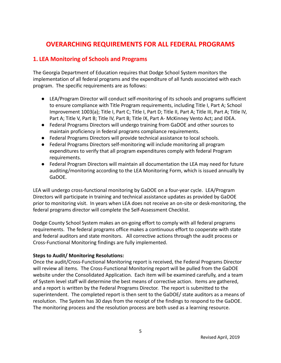# **OVERARCHING REQUIREMENTS FOR ALL FEDERAL PROGRAMS**

# **1. LEA Monitoring of Schools and Programs**

The Georgia Department of Education requires that Dodge School System monitors the implementation of all federal programs and the expenditure of all funds associated with each program. The specific requirements are as follows:

- LEA/Program Director will conduct self-monitoring of its schools and programs sufficient to ensure compliance with Title Program requirements, including Title I, Part A; School Improvement 1003(a); Title I, Part C; Title I, Part D; Title II, Part A; Title III, Part A; Title IV, Part A; Title V, Part B; Title IV, Part B; Title IX, Part A- McKinney Vento Act; and IDEA.
- Federal Programs Directors will undergo training from GaDOE and other sources to maintain proficiency in federal programs compliance requirements.
- Federal Programs Directors will provide technical assistance to local schools.
- Federal Programs Directors self-monitoring will include monitoring all program expenditures to verify that all program expenditures comply with federal Program requirements.
- Federal Program Directors will maintain all documentation the LEA may need for future auditing/monitoring according to the LEA Monitoring Form, which is issued annually by GaDOE.

LEA will undergo cross-functional monitoring by GaDOE on a four-year cycle. LEA/Program Directors will participate in training and technical assistance updates as provided by GaDOE prior to monitoring visit. In years when LEA does not receive an on-site or desk-monitoring, the federal programs director will complete the Self-Assessment Checklist.

Dodge County School System makes an on-going effort to comply with all federal programs requirements. The federal programs office makes a continuous effort to cooperate with state and federal auditors and state monitors. All corrective actions through the audit process or Cross-Functional Monitoring findings are fully implemented.

# **Steps to Audit/ Monitoring Resolutions:**

Once the audit/Cross-Functional Monitoring report is received, the Federal Programs Director will review all items. The Cross-Functional Monitoring report will be pulled from the GaDOE website under the Consolidated Application. Each item will be examined carefully, and a team of System level staff will determine the best means of corrective action. Items are gathered, and a report is written by the Federal Programs Director. The report is submitted to the superintendent. The completed report is then sent to the GaDOE/ state auditors as a means of resolution. The System has 30 days from the receipt of the findings to respond to the GaDOE. The monitoring process and the resolution process are both used as a learning resource.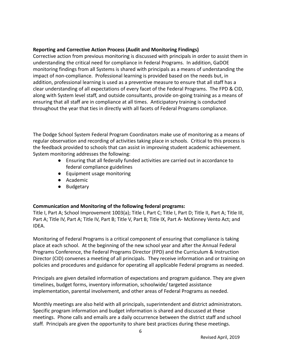### **Reporting and Corrective Action Process (Audit and Monitoring Findings)**

Corrective action from previous monitoring is discussed with principals in order to assist them in understanding the critical need for compliance in Federal Programs. In addition, GaDOE monitoring findings from all Systems is shared with principals as a means of understanding the impact of non-compliance. Professional learning is provided based on the needs but, in addition, professional learning is used as a preventive measure to ensure that all staff has a clear understanding of all expectations of every facet of the Federal Programs. The FPD & CID, along with System level staff, and outside consultants, provide on-going training as a means of ensuring that all staff are in compliance at all times. Anticipatory training is conducted throughout the year that ties in directly with all facets of Federal Programs compliance.

The Dodge School System Federal Program Coordinators make use of monitoring as a means of regular observation and recording of activities taking place in schools. Critical to this process is the feedback provided to schools that can assist in improving student academic achievement. System monitoring addresses the following:

- Ensuring that all federally funded activities are carried out in accordance to federal compliance guidelines
- Equipment usage monitoring
- Academic
- Budgetary

# **Communication and Monitoring of the following federal programs:**

Title I, Part A; School Improvement 1003(a); Title I, Part C; Title I, Part D; Title II, Part A; Title III, Part A; Title IV, Part A; Title IV, Part B; Title V, Part B; Title IX, Part A- McKinney Vento Act; and IDEA.

Monitoring of Federal Programs is a critical component of ensuring that compliance is taking place at each school. At the beginning of the new school year and after the Annual Federal Programs Conference, the Federal Programs Director (FPD) and the Curriculum & Instruction Director (CID) convenes a meeting of all principals. They receive information and or training on policies and procedures and guidance for operating all applicable Federal programs as needed.

Principals are given detailed information of expectations and program guidance. They are given timelines, budget forms, inventory information, schoolwide/ targeted assistance implementation, parental involvement, and other areas of Federal Programs as needed.

Monthly meetings are also held with all principals, superintendent and district administrators. Specific program information and budget information is shared and discussed at these meetings. Phone calls and emails are a daily occurrence between the district staff and school staff. Principals are given the opportunity to share best practices during these meetings.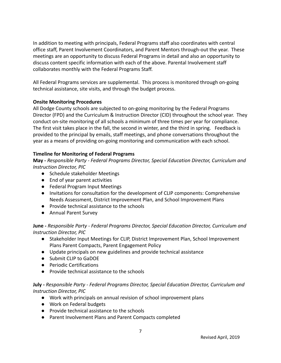In addition to meeting with principals, Federal Programs staff also coordinates with central office staff, Parent Involvement Coordinators, and Parent Mentors through-out the year. These meetings are an opportunity to discuss Federal Programs in detail and also an opportunity to discuss content specific information with each of the above. Parental Involvement staff collaborates monthly with the Federal Programs Staff.

All Federal Programs services are supplemental. This process is monitored through on-going technical assistance, site visits, and through the budget process.

# **Onsite Monitoring Procedures**

All Dodge County schools are subjected to on-going monitoring by the Federal Programs Director (FPD) and the Curriculum & Instruction Director (CID) throughout the school year. They conduct on-site monitoring of all schools a minimum of three times per year for compliance. The first visit takes place in the fall, the second in winter, and the third in spring. Feedback is provided to the principal by emails, staff meetings, and phone conversations throughout the year as a means of providing on-going monitoring and communication with each school.

# **Timeline for Monitoring of Federal Programs**

**May -** *Responsible Party - Federal Programs Director, Special Education Director, Curriculum and Instruction Director, PIC*

- Schedule stakeholder Meetings
- End of year parent activities
- Federal Program Input Meetings
- Invitations for consultation for the development of CLIP components: Comprehensive Needs Assessment, District Improvement Plan, and School Improvement Plans
- Provide technical assistance to the schools
- Annual Parent Survey

**June -** *Responsible Party - Federal Programs Director, Special Education Director, Curriculum and Instruction Director, PIC*

- Stakeholder Input Meetings for CLIP, District Improvement Plan, School Improvement Plans Parent Compacts, Parent Engagement Policy
- Update principals on new guidelines and provide technical assistance
- Submit CLIP to GaDOE
- Periodic Certifications
- Provide technical assistance to the schools

# **July -** *Responsible Party - Federal Programs Director, Special Education Director, Curriculum and Instruction Director, PIC*

- Work with principals on annual revision of school improvement plans
- Work on Federal budgets
- Provide technical assistance to the schools
- Parent Involvement Plans and Parent Compacts completed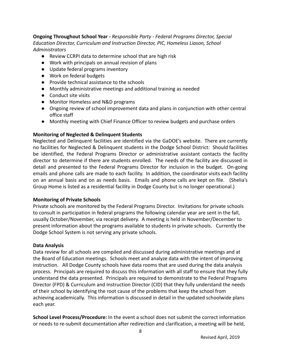**Ongoing Throughout School Year -** *Responsible Party - Federal Programs Director, Special Education Director, Curriculum and Instruction Director, PIC, Homeless Liason, School Administrators*

- Review CCRPI data to determine school that are high risk
- Work with principals on annual revision of plans
- Update federal programs inventory
- Work on federal budgets
- Provide technical assistance to the schools
- Monthly administrative meetings and additional training as needed
- Conduct site visits
- Monitor Homeless and N&D programs
- Ongoing review of school improvement data and plans in conjunction with other central office staff
- Monthly meeting with Chief Finance Officer to review budgets and purchase orders

#### **Monitoring of Neglected & Delinquent Students**

Neglected and Delinquent facilities are identified via the GaDOE's website. There are currently no facilities for Neglected & Delinquent students in the Dodge School District: Should facilities be identified, the Federal Programs Director or administrative assistant contacts the facility director to determine if there are students enrolled. The needs of the facility are discussed in detail and presented to the Federal Programs Director for inclusion in the budget. On-going emails and phone calls are made to each facility. In addition, the coordinator visits each facility on an annual basis and on as needs basis. Emails and phone calls are kept on file. (Shelia's Group Home is listed as a residential facility in Dodge County but is no longer operational.)

#### **Monitoring of Private Schools**

Private schools are monitored by the Federal Programs Director. Invitations for private schools to consult in participation in federal programs the following calendar year are sent in the fall, usually October/November, via receipt delivery. A meeting is held in November/December to present information about the programs available to students in private schools. Currently the Dodge School System is not serving any private schools.

#### **Data Analysis**

Data review for all schools are compiled and discussed during administrative meetings and at the Board of Education meetings. Schools meet and analyze data with the intent of improving instruction. All Dodge County schools have data rooms that are used during the data analysis process. Principals are required to discuss this information with all staff to ensure that they fully understand the data presented. Principals are required to demonstrate to the Federal Programs Director (FPD) & Curriculum and Instruction Director (CID) that they fully understand the needs of their school by identifying the root cause of the problems that keep the school from achieving academically. This information is discussed in detail in the updated schoolwide plans each year.

**School Level Process/Procedure:** In the event a school does not submit the correct information or needs to re-submit documentation after redirection and clarification, a meeting will be held,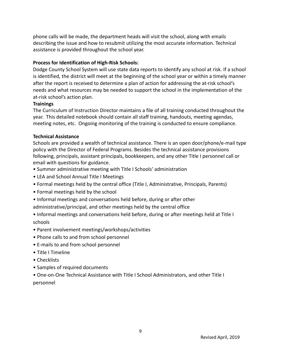phone calls will be made, the department heads will visit the school, along with emails describing the issue and how to resubmit utilizing the most accurate information. Technical assistance is provided throughout the school year.

# **Process for Identification of High-Risk Schools:**

Dodge County School System will use state data reports to identify any school at risk. If a school is identified, the district will meet at the beginning of the school year or within a timely manner after the report is received to determine a plan of action for addressing the at-risk school's needs and what resources may be needed to support the school in the implementation of the at-risk school's action plan.

# **Trainings**

The Curriculum of Instruction Director maintains a file of all training conducted throughout the year. This detailed notebook should contain all staff training, handouts, meeting agendas, meeting notes, etc. Ongoing monitoring of the training is conducted to ensure compliance.

### **Technical Assistance**

Schools are provided a wealth of technical assistance. There is an open door/phone/e-mail type policy with the Director of Federal Programs. Besides the technical assistance provisions following, principals, assistant principals, bookkeepers, and any other Title I personnel call or email with questions for guidance.

- Summer administrative meeting with Title I Schools' administration
- LEA and School Annual Title I Meetings
- Formal meetings held by the central office (Title I, Administrative, Principals, Parents)
- Formal meetings held by the school
- Informal meetings and conversations held before, during or after other

administrative/principal, and other meetings held by the central office

- Informal meetings and conversations held before, during or after meetings held at Title I schools
- Parent involvement meetings/workshops/activities
- Phone calls to and from school personnel
- E-mails to and from school personnel
- Title I Timeline
- Checklists
- Samples of required documents

• One-on-One Technical Assistance with Title I School Administrators, and other Title I personnel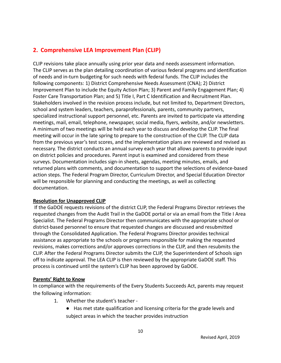# **2. Comprehensive LEA Improvement Plan (CLIP)**

CLIP revisions take place annually using prior year data and needs assessment information. The CLIP serves as the plan detailing coordination of various federal programs and identification of needs and in-turn budgeting for such needs with federal funds. The CLIP includes the following components: 1) District Comprehensive Needs Assessment (CNA); 2) District Improvement Plan to include the Equity Action Plan; 3) Parent and Family Engagement Plan; 4) Foster Care Transportation Plan; and 5) Title I, Part C Identification and Recruitment Plan. Stakeholders involved in the revision process include, but not limited to, Department Directors, school and system leaders, teachers, paraprofessionals, parents, community partners, specialized instructional support personnel, etc. Parents are invited to participate via attending meetings, mail, email, telephone, newspaper, social media, flyers, website, and/or newsletters. A minimum of two meetings will be held each year to discuss and develop the CLIP. The final meeting will occur in the late spring to prepare to the construction of the CLIP. The CLIP data from the previous year's test scores, and the implementation plans are reviewed and revised as necessary. The district conducts an annual survey each year that allows parents to provide input on district policies and procedures. Parent input is examined and considered from these surveys. Documentation includes sign-in sheets, agendas, meeting minutes, emails, and returned plans with comments, and documentation to support the selections of evidence-based action steps. The Federal Program Director, Curriculum Director, and Special Education Director will be responsible for planning and conducting the meetings, as well as collecting documentation.

# **Resolution for Unapproved CLIP**

If the GaDOE requests revisions of the district CLIP, the Federal Programs Director retrieves the requested changes from the Audit Trail in the GaDOE portal or via an email from the Title I Area Specialist. The Federal Programs Director then communicates with the appropriate school or district-based personnel to ensure that requested changes are discussed and resubmitted through the Consolidated Application. The Federal Programs Director provides technical assistance as appropriate to the schools or programs responsible for making the requested revisions, makes corrections and/or approves corrections in the CLIP, and then resubmits the CLIP. After the Federal Programs Director submits the CLIP, the Superintendent of Schools sign off to indicate approval. The LEA CLIP is then reviewed by the appropriate GaDOE staff. This process is continued until the system's CLIP has been approved by GaDOE.

#### **Parents' Right to Know**

In compliance with the requirements of the Every Students Succeeds Act, parents may request the following information:

- 1. Whether the student's teacher
	- Has met state qualification and licensing criteria for the grade levels and subject areas in which the teacher provides instruction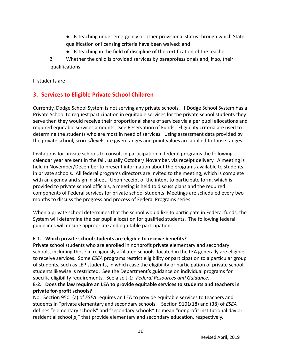- Is teaching under emergency or other provisional status through which State qualification or licensing criteria have been waived: and
- Is teaching in the field of discipline of the certification of the teacher
- 2. Whether the child is provided services by paraprofessionals and, if so, their qualifications

If students are

# **3. Services to Eligible Private School Children**

Currently, Dodge School System is not serving any private schools. If Dodge School System has a Private School to request participation in equitable services for the private school students they serve then they would receive their proportional share of services via a per pupil allocations and required equitable services amounts. See Reservation of Funds. Eligibility criteria are used to determine the students who are most in need of services. Using assessment data provided by the private school, scores/levels are given ranges and point values are applied to those ranges.

Invitations for private schools to consult in participation in federal programs the following calendar year are sent in the fall, usually October/ November, via receipt delivery. A meeting is held in November/December to present information about the programs available to students in private schools. All federal programs directors are invited to the meeting, which is complete with an agenda and sign in sheet. Upon receipt of the intent to participate form, which is provided to private school officials, a meeting is held to discuss plans and the required components of Federal services for private school students. Meetings are scheduled every two months to discuss the progress and process of Federal Programs series.

When a private school determines that the school would like to participate in Federal funds, the System will determine the per pupil allocation for qualified students. The following federal guidelines will ensure appropriate and equitable participation.

# **E-1. Which private school students are eligible to receive benefits?**

Private school students who are enrolled in nonprofit private elementary and secondary schools, including those in religiously affiliated schools, located in the LEA generally are eligible to receive services. Some *ESEA* programs restrict eligibility or participation to a particular group of students, such as LEP students, in which case the eligibility or participation of private school students likewise is restricted. See the Department's guidance on individual programs for specific eligibility requirements. See also J-1: *Federal Resources and Guidance*.

# **E-2. Does the law require an LEA to provide equitable services to students and teachers in private for-profit schools?**

No. Section 9501(a) of *ESEA* requires an LEA to provide equitable services to teachers and students in "private elementary and secondary schools." Section 9101(18) and (38) of *ESEA* defines "elementary schools" and "secondary schools" to mean "nonprofit institutional day or residential school[s]" that provide elementary and secondary education, respectively.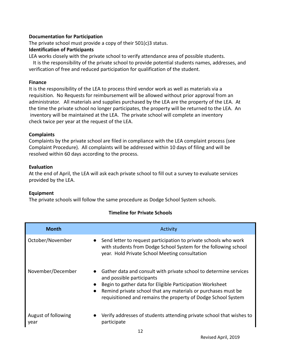#### **Documentation for Participation**

The private school must provide a copy of their 501(c)3 status.

## **Identification of Participants**

LEA works closely with the private school to verify attendance area of possible students.

It is the responsibility of the private school to provide potential students names, addresses, and verification of free and reduced participation for qualification of the student.

## **Finance**

It is the responsibility of the LEA to process third vendor work as well as materials via a requisition. No Requests for reimbursement will be allowed without prior approval from an administrator. All materials and supplies purchased by the LEA are the property of the LEA. At the time the private school no longer participates, the property will be returned to the LEA. An inventory will be maintained at the LEA. The private school will complete an inventory check twice per year at the request of the LEA.

### **Complaints**

Complaints by the private school are filed in compliance with the LEA complaint process (see Complaint Procedure). All complaints will be addressed within 10 days of filing and will be resolved within 60 days according to the process.

### **Evaluation**

At the end of April, the LEA will ask each private school to fill out a survey to evaluate services provided by the LEA.

# **Equipment**

The private schools will follow the same procedure as Dodge School System schools.

|  |  | <b>Timeline for Private Schools</b> |  |
|--|--|-------------------------------------|--|
|  |  |                                     |  |

| <b>Month</b>                | Activity                                                                                                                                                                                                                                                                                                                             |
|-----------------------------|--------------------------------------------------------------------------------------------------------------------------------------------------------------------------------------------------------------------------------------------------------------------------------------------------------------------------------------|
| October/November            | Send letter to request participation to private schools who work<br>$\bullet$<br>with students from Dodge School System for the following school<br>year. Hold Private School Meeting consultation                                                                                                                                   |
| November/December           | Gather data and consult with private school to determine services<br>$\bullet$<br>and possible participants<br>Begin to gather data for Eligible Participation Worksheet<br>$\bullet$<br>Remind private school that any materials or purchases must be<br>$\bullet$<br>requisitioned and remains the property of Dodge School System |
| August of following<br>year | Verify addresses of students attending private school that wishes to<br>participate                                                                                                                                                                                                                                                  |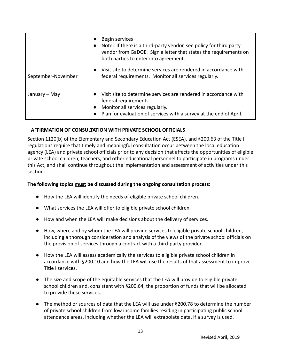|                            | Begin services<br>Note: If there is a third-party vendor, see policy for third party<br>vendor from GaDOE. Sign a letter that states the requirements on<br>both parties to enter into agreement.    |
|----------------------------|------------------------------------------------------------------------------------------------------------------------------------------------------------------------------------------------------|
| September-November         | • Visit site to determine services are rendered in accordance with<br>federal requirements. Monitor all services regularly.                                                                          |
| January – May<br>$\bullet$ | • Visit site to determine services are rendered in accordance with<br>federal requirements.<br>Monitor all services regularly.<br>Plan for evaluation of services with a survey at the end of April. |

# **AFFIRMATION OF CONSULTATION WITH PRIVATE SCHOOL OFFICIALS**

Section 1120(b) of the Elementary and Secondary Education Act (ESEA). and §200.63 of the Title I regulations require that timely and meaningful consultation occur between the local education agency (LEA) and private school officials prior to any decision that affects the opportunities of eligible private school children, teachers, and other educational personnel to participate in programs under this Act, and shall continue throughout the implementation and assessment of activities under this section.

#### **The following topics must be discussed during the ongoing consultation process:**

- How the LEA will identify the needs of eligible private school children.
- What services the LEA will offer to eligible private school children.
- How and when the LEA will make decisions about the delivery of services.
- How, where and by whom the LEA will provide services to eligible private school children, including a thorough consideration and analysis of the views of the private school officials on the provision of services through a contract with a third-party provider.
- How the LEA will assess academically the services to eligible private school children in accordance with §200.10 and how the LEA will use the results of that assessment to improve Title I services.
- The size and scope of the equitable services that the LEA will provide to eligible private school children and, consistent with §200.64, the proportion of funds that will be allocated to provide these services.
- The method or sources of data that the LEA will use under §200.78 to determine the number of private school children from low income families residing in participating public school attendance areas, including whether the LEA will extrapolate data, if a survey is used.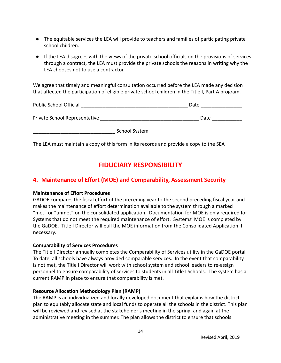- The equitable services the LEA will provide to teachers and families of participating private school children.
- If the LEA disagrees with the views of the private school officials on the provisions of services through a contract, the LEA must provide the private schools the reasons in writing why the LEA chooses not to use a contractor.

We agree that timely and meaningful consultation occurred before the LEA made any decision that affected the participation of eligible private school children in the Title I, Part A program.

| <b>Public School Official</b> | Date |
|-------------------------------|------|
| Private School Representative | Date |

School System

The LEA must maintain a copy of this form in its records and provide a copy to the SEA

# **FIDUCIARY RESPONSIBILITY**

# **4. Maintenance of Effort (MOE) and Comparability, Assessment Security**

# **Maintenance of Effort Procedures**

GADOE compares the fiscal effort of the preceding year to the second preceding fiscal year and makes the maintenance of effort determination available to the system through a marked "met" or "unmet" on the consolidated application. Documentation for MOE is only required for Systems that do not meet the required maintenance of effort. Systems' MOE is completed by the GaDOE. Title I Director will pull the MOE information from the Consolidated Application if necessary.

# **Comparability of Services Procedures**

The Title I Director annually completes the Comparability of Services utility in the GaDOE portal. To date, all schools have always provided comparable services. In the event that comparability is not met, the Title I Director will work with school system and school leaders to re-assign personnel to ensure comparability of services to students in all Title I Schools. The system has a current RAMP in place to ensure that comparability is met.

# **Resource Allocation Methodology Plan (RAMP)**

The RAMP is an individualized and locally developed document that explains how the district plan to equitably allocate state and local funds to operate all the schools in the district. This plan will be reviewed and revised at the stakeholder's meeting in the spring, and again at the administrative meeting in the summer. The plan allows the district to ensure that schools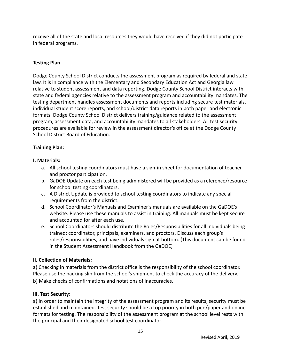receive all of the state and local resources they would have received if they did not participate in federal programs.

# **Testing Plan**

Dodge County School District conducts the assessment program as required by federal and state law. It is in compliance with the Elementary and Secondary Education Act and Georgia law relative to student assessment and data reporting. Dodge County School District interacts with state and federal agencies relative to the assessment program and accountability mandates. The testing department handles assessment documents and reports including secure test materials, individual student score reports, and school/district data reports in both paper and electronic formats. Dodge County School District delivers training/guidance related to the assessment program, assessment data, and accountability mandates to all stakeholders. All test security procedures are available for review in the assessment director's office at the Dodge County School District Board of Education.

# **Training Plan:**

### **I. Materials:**

- a. All school testing coordinators must have a sign-in sheet for documentation of teacher and proctor participation.
- b. GaDOE Update on each test being administered will be provided as a reference/resource for school testing coordinators.
- c. A District Update is provided to school testing coordinators to indicate any special requirements from the district.
- d. School Coordinator's Manuals and Examiner's manuals are available on the GaDOE's website. Please use these manuals to assist in training. All manuals must be kept secure and accounted for after each use.
- e. School Coordinators should distribute the Roles/Responsibilities for all individuals being trained: coordinator, principals, examiners, and proctors. Discuss each group's roles/responsibilities, and have individuals sign at bottom. (This document can be found in the Student Assessment Handbook from the GaDOE)

# **II. Collection of Materials:**

a) Checking in materials from the district office is the responsibility of the school coordinator. Please use the packing slip from the school's shipment to check the accuracy of the delivery. b) Make checks of confirmations and notations of inaccuracies.

# **III. Test Security:**

a) In order to maintain the integrity of the assessment program and its results, security must be established and maintained. Test security should be a top priority in both pen/paper and online formats for testing. The responsibility of the assessment program at the school level rests with the principal and their designated school test coordinator.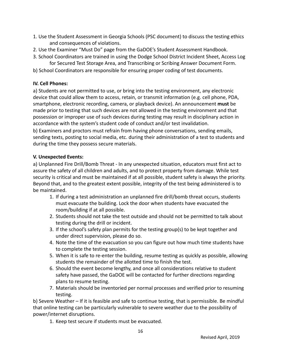- 1. Use the Student Assessment in Georgia Schools (PSC document) to discuss the testing ethics and consequences of violations.
- 2. Use the Examiner "Must Do" page from the GaDOE's Student Assessment Handbook.
- 3. School Coordinators are trained in using the Dodge School District Incident Sheet, Access Log for Secured Test Storage Area, and Transcribing or Scribing Answer Document Form.
- b) School Coordinators are responsible for ensuring proper coding of test documents.

# **IV. Cell Phones:**

a) Students are not permitted to use, or bring into the testing environment, any electronic device that could allow them to access, retain, or transmit information (e.g. cell phone, PDA, smartphone, electronic recording, camera, or playback device). An announcement **must** be made prior to testing that such devices are not allowed in the testing environment and that possession or improper use of such devices during testing may result in disciplinary action in accordance with the system's student code of conduct and/or test invalidation.

b) Examiners and proctors must refrain from having phone conversations, sending emails, sending texts, posting to social media, etc. during their administration of a test to students and during the time they possess secure materials.

# **V. Unexpected Events:**

a) Unplanned Fire Drill/Bomb Threat - In any unexpected situation, educators must first act to assure the safety of all children and adults, and to protect property from damage. While test security is critical and must be maintained if at all possible, student safety is always the priority. Beyond that, and to the greatest extent possible, integrity of the test being administered is to be maintained.

- 1. If during a test administration an unplanned fire drill/bomb threat occurs, students must evacuate the building. Lock the door when students have evacuated the room/building if at all possible.
- 2. Students should not take the test outside and should not be permitted to talk about testing during the drill or incident.
- 3. If the school's safety plan permits for the testing group(s) to be kept together and under direct supervision, please do so.
- 4. Note the time of the evacuation so you can figure out how much time students have to complete the testing session.
- 5. When it is safe to re-enter the building, resume testing as quickly as possible, allowing students the remainder of the allotted time to finish the test.
- 6. Should the event become lengthy, and once all considerations relative to student safety have passed, the GaDOE will be contacted for further directions regarding plans to resume testing.
- 7. Materials should be inventoried per normal processes and verified prior to resuming testing.

b) Severe Weather – If it is feasible and safe to continue testing, that is permissible. Be mindful that online testing can be particularly vulnerable to severe weather due to the possibility of power/internet disruptions.

1. Keep test secure if students must be evacuated.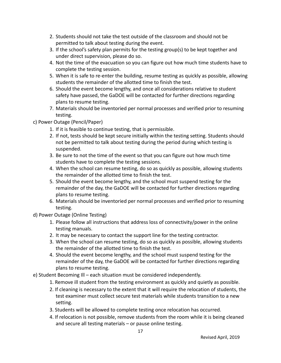- 2. Students should not take the test outside of the classroom and should not be permitted to talk about testing during the event.
- 3. If the school's safety plan permits for the testing group(s) to be kept together and under direct supervision, please do so.
- 4. Not the time of the evacuation so you can figure out how much time students have to complete the testing session.
- 5. When it is safe to re-enter the building, resume testing as quickly as possible, allowing students the remainder of the allotted time to finish the test.
- 6. Should the event become lengthy, and once all considerations relative to student safety have passed, the GaDOE will be contacted for further directions regarding plans to resume testing.
- 7. Materials should be inventoried per normal processes and verified prior to resuming testing.

# c) Power Outage (Pencil/Paper)

- 1. If it is feasible to continue testing, that is permissible.
- 2. If not, tests should be kept secure initially within the testing setting. Students should not be permitted to talk about testing during the period during which testing is suspended.
- 3. Be sure to not the time of the event so that you can figure out how much time students have to complete the testing sessions.
- 4. When the school can resume testing, do so as quickly as possible, allowing students the remainder of the allotted time to finish the test.
- 5. Should the event become lengthy, and the school must suspend testing for the remainder of the day, the GaDOE will be contacted for further directions regarding plans to resume testing.
- 6. Materials should be inventoried per normal processes and verified prior to resuming testing.
- d) Power Outage (Online Testing)
	- 1. Please follow all instructions that address loss of connectivity/power in the online testing manuals.
	- 2. It may be necessary to contact the support line for the testing contractor.
	- 3. When the school can resume testing, do so as quickly as possible, allowing students the remainder of the allotted time to finish the test.
	- 4. Should the event become lengthy, and the school must suspend testing for the remainder of the day, the GaDOE will be contacted for further directions regarding plans to resume testing.
- e) Student Becoming Ill each situation must be considered independently.
	- 1. Remove ill student from the testing environment as quickly and quietly as possible.
	- 2. If cleaning is necessary to the extent that it will require the relocation of students, the test examiner must collect secure test materials while students transition to a new setting.
	- 3. Students will be allowed to complete testing once relocation has occurred.
	- 4. If relocation is not possible, remove students from the room while it is being cleaned and secure all testing materials – or pause online testing.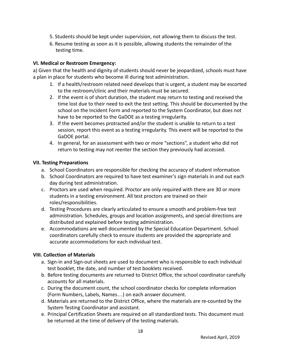- 5. Students should be kept under supervision, not allowing them to discuss the test.
- 6. Resume testing as soon as it is possible, allowing students the remainder of the testing time.

# **VI. Medical or Restroom Emergency:**

a) Given that the health and dignity of students should never be jeopardized, schools must have a plan in place for students who become ill during test administration.

- 1. If a health/restroom related need develops that is urgent, a student may be escorted to the restroom/clinic and their materials must be secured.
- 2. If the event is of short duration, the student may return to testing and received the time lost due to their need to exit the test setting. This should be documented by the school on the Incident Form and reported to the System Coordinator, but does not have to be reported to the GaDOE as a testing irregularity.
- 3. If the event becomes protracted and/or the student is unable to return to a test session, report this event as a testing irregularity. This event will be reported to the GaDOE portal.
- 4. In general, for an assessment with two or more "sections", a student who did not return to testing may not reenter the section they previously had accessed.

# **VII. Testing Preparations**

- a. School Coordinators are responsible for checking the accuracy of student information
- b. School Coordinators are required to have test examiner's sign materials in and out each day during test administration.
- c. Proctors are used when required. Proctor are only required with there are 30 or more students in a testing environment. All test proctors are trained on their roles/responsibilities.
- d. Testing Procedures are clearly articulated to ensure a smooth and problem-free test administration. Schedules, groups and location assignments, and special directions are distributed and explained before testing administration.
- e. Accommodations are well documented by the Special Education Department. School coordinators carefully check to ensure students are provided the appropriate and accurate accommodations for each individual test.

# **VIII. Collection of Materials**

- a. Sign-in and Sign-out sheets are used to document who is responsible to each individual test booklet, the date, and number of test booklets received.
- b. Before testing documents are returned to District Office, the school coordinator carefully accounts for all materials.
- c. During the document count, the school coordinator checks for complete information (Form Numbers, Labels, Names…) on each answer document.
- d. Materials are returned to the District Office, where the materials are re-counted by the System Testing Coordinator and assistant.
- e. Principal Certification Sheets are required on all standardized tests. This document must be returned at the time of delivery of the testing materials.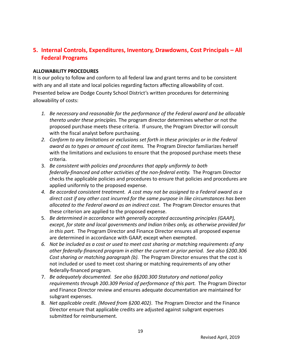# **5. Internal Controls, Expenditures, Inventory, Drawdowns, Cost Principals – All Federal Programs**

#### **ALLOWABILITY PROCEDURES**

It is our policy to follow and conform to all federal law and grant terms and to be consistent with any and all state and local policies regarding factors affecting allowability of cost. Presented below are Dodge County School District's written procedures for determining allowability of costs:

- *1. Be necessary and reasonable for the performance of the Federal award and be allocable thereto under these principles.* The program director determines whether or not the proposed purchase meets these criteria. If unsure, the Program Director will consult with the fiscal analyst before purchasing.
- *2. Conform to any limitations or exclusions set forth in these principles or in the Federal award as to types or amount of cost items.* The Program Director familiarizes herself with the limitations and exclusions to ensure that the proposed purchase meets these criteria.
- 3. *Be consistent with policies and procedures that apply uniformly to both federally-financed and other activities of the non-federal entity.* The Program Director checks the applicable policies and procedures to ensure that policies and procedures are applied uniformly to the proposed expense.
- *4. Be accorded consistent treatment. A cost may not be assigned to a Federal award as a direct cost if any other cost incurred for the same purpose in like circumstances has been allocated to the Federal award as an indirect cost.* The Program Director ensures that these criterion are applied to the proposed expense.
- 5. *Be determined in accordance with generally accepted accounting principles (GAAP), except, for state and local governments and Indian tribes only, as otherwise provided for in this part.* The Program Director and Finance Director ensures all proposed expense are determined in accordance with GAAP, except when exempted.
- *6. Not be included as a cost or used to meet cost sharing or matching requirements of any other federally-financed program in either the current or prior period. See also §200.306 Cost sharing or matching paragraph (b).* The Program Director ensures that the cost is not included or used to meet cost sharing or matching requirements of any other federally-financed program.
- 7. *Be adequately documented. See also §§200.300 Statutory and national policy requirements through 200.309 Period of performance of this part.* The Program Director and Finance Director review and ensures adequate documentation are maintained for subgrant expenses.
- 8. *Net applicable credit. (Moved from §200.402)*. The Program Director and the Finance Director ensure that applicable credits are adjusted against subgrant expenses submitted for reimbursement.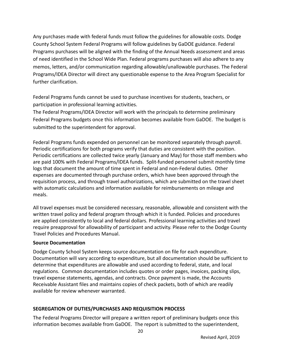Any purchases made with federal funds must follow the guidelines for allowable costs. Dodge County School System Federal Programs will follow guidelines by GaDOE guidance. Federal Programs purchases will be aligned with the finding of the Annual Needs assessment and areas of need identified in the School Wide Plan. Federal programs purchases will also adhere to any memos, letters, and/or communication regarding allowable/unallowable purchases. The Federal Programs/IDEA Director will direct any questionable expense to the Area Program Specialist for further clarification.

Federal Programs funds cannot be used to purchase incentives for students, teachers, or participation in professional learning activities.

The Federal Programs/IDEA Director will work with the principals to determine preliminary Federal Programs budgets once this information becomes available from GaDOE. The budget is submitted to the superintendent for approval.

Federal Programs funds expended on personnel can be monitored separately through payroll. Periodic certifications for both programs verify that duties are consistent with the position. Periodic certifications are collected twice yearly (January and May) for those staff members who are paid 100% with Federal Programs/IDEA funds. Split-funded personnel submit monthly time logs that document the amount of time spent in Federal and non-Federal duties. Other expenses are documented through purchase orders, which have been approved through the requisition process, and through travel authorizations, which are submitted on the travel sheet with automatic calculations and information available for reimbursements on mileage and meals.

All travel expenses must be considered necessary, reasonable, allowable and consistent with the written travel policy and federal program through which it is funded. Policies and procedures are applied consistently to local and federal dollars. Professional learning activities and travel require preapproval for allowability of participant and activity. Please refer to the Dodge County Travel Policies and Procedures Manual.

# **Source Documentation**

Dodge County School System keeps source documentation on file for each expenditure. Documentation will vary according to expenditure, but all documentation should be sufficient to determine that expenditures are allowable and used according to federal, state, and local regulations. Common documentation includes quotes or order pages, invoices, packing slips, travel expense statements, agendas, and contracts. Once payment is made, the Accounts Receivable Assistant files and maintains copies of check packets, both of which are readily available for review whenever warranted.

# **SEGREGATION OF DUTIES/PURCHASES AND REQUISITION PROCESS**

The Federal Programs Director will prepare a written report of preliminary budgets once this information becomes available from GaDOE. The report is submitted to the superintendent,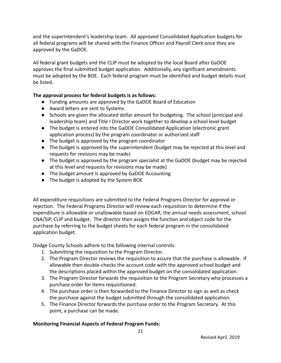and the superintendent's leadership team. All approved Consolidated Application budgets for all federal programs will be shared with the Finance Officer and Payroll Clerk once they are approved by the GaDOE.

All federal grant budgets and the CLIP must be adopted by the local Board after GaDOE approves the final submitted budget application. Additionally, any significant amendments must be adopted by the BOE. Each federal program must be identified and budget details must be listed.

# **The approval process for federal budgets is as follows:**

- Funding amounts are approved by the GaDOE Board of Education
- Award letters are sent to Systems
- Schools are given the allocated dollar amount for budgeting. The school (principal and leadership team) and Title I Director work together to develop a school level budget
- The budget is entered into the GaDOE Consolidated Application (electronic grant application process) by the program coordinator or authorized staff
- The budget is approved by the program coordinator
- The budget is approved by the superintendent (budget may be rejected at this level and requests for revisions may be made)
- The budget is approved by the program specialist at the GaDOE (budget may be rejected at this level and requests for revisions may be made)
- The budget amount is approved by GaDOE Accounting
- The budget is adopted by the System BOE

All expenditure requisitions are submitted to the Federal Programs Director for approval or rejection. The Federal Programs Director will review each requisition to determine if the expenditure is allowable or unallowable based on EDGAR, the annual needs assessment, school CNA/SIP, CLIP and budget. The director then assigns the function and object code for the purchase by referring to the budget sheets for each federal program in the consolidated application budget.

Dodge County Schools adhere to the following internal controls:

- 1. Submitting the requisition to the Program Director.
- 2. The Program Director reviews the requisition to assure that the purchase is allowable. If allowable then double-checks the account code with the approved school budget and the descriptions placed within the approved budget on the consolidated application.
- 3. The Program Director forwards the requisition to the Program Secretary who processes a purchase order for items requisitioned.
- 4. The purchase order is then forwarded to the Finance Director to sign as well as check the purchase against the budget submitted through the consolidated application.
- 5. The Finance Director forwards the purchase order to the Program Secretary. At this point, a purchase can be made.

# **Monitoring Financial Aspects of Federal Program Funds:**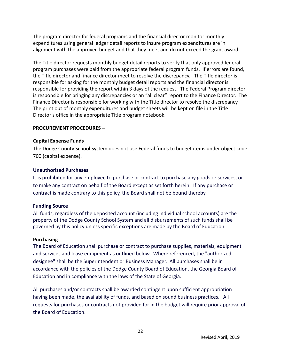The program director for federal programs and the financial director monitor monthly expenditures using general ledger detail reports to insure program expenditures are in alignment with the approved budget and that they meet and do not exceed the grant award.

The Title director requests monthly budget detail reports to verify that only approved federal program purchases were paid from the appropriate federal program funds. If errors are found, the Title director and finance director meet to resolve the discrepancy. The Title director is responsible for asking for the monthly budget detail reports and the financial director is responsible for providing the report within 3 days of the request. The Federal Program director is responsible for bringing any discrepancies or an "all clear" report to the Finance Director. The Finance Director is responsible for working with the Title director to resolve the discrepancy. The print out of monthly expenditures and budget sheets will be kept on file in the Title Director's office in the appropriate Title program notebook.

#### **PROCUREMENT PROCEDURES –**

### **Capital Expense Funds**

The Dodge County School System does not use Federal funds to budget items under object code 700 (capital expense).

### **Unauthorized Purchases**

It is prohibited for any employee to purchase or contract to purchase any goods or services, or to make any contract on behalf of the Board except as set forth herein. If any purchase or contract is made contrary to this policy, the Board shall not be bound thereby.

#### **Funding Source**

All funds, regardless of the deposited account (including individual school accounts) are the property of the Dodge County School System and all disbursements of such funds shall be governed by this policy unless specific exceptions are made by the Board of Education.

#### **Purchasing**

The Board of Education shall purchase or contract to purchase supplies, materials, equipment and services and lease equipment as outlined below. Where referenced, the "authorized designee" shall be the Superintendent or Business Manager. All purchases shall be in accordance with the policies of the Dodge County Board of Education, the Georgia Board of Education and in compliance with the laws of the State of Georgia.

All purchases and/or contracts shall be awarded contingent upon sufficient appropriation having been made, the availability of funds, and based on sound business practices. All requests for purchases or contracts not provided for in the budget will require prior approval of the Board of Education.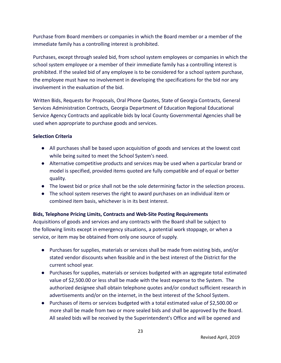Purchase from Board members or companies in which the Board member or a member of the immediate family has a controlling interest is prohibited.

Purchases, except through sealed bid, from school system employees or companies in which the school system employee or a member of their immediate family has a controlling interest is prohibited. If the sealed bid of any employee is to be considered for a school system purchase, the employee must have no involvement in developing the specifications for the bid nor any involvement in the evaluation of the bid.

Written Bids, Requests for Proposals, Oral Phone Quotes, State of Georgia Contracts, General Services Administration Contracts, Georgia Department of Education Regional Educational Service Agency Contracts and applicable bids by local County Governmental Agencies shall be used when appropriate to purchase goods and services.

# **Selection Criteria**

- All purchases shall be based upon acquisition of goods and services at the lowest cost while being suited to meet the School System's need.
- Alternative competitive products and services may be used when a particular brand or model is specified, provided items quoted are fully compatible and of equal or better quality.
- The lowest bid or price shall not be the sole determining factor in the selection process.
- The school system reserves the right to award purchases on an individual item or combined item basis, whichever is in its best interest.

# **Bids, Telephone Pricing Limits, Contracts and Web-Site Posting Requirements**

Acquisitions of goods and services and any contracts with the Board shall be subject to the following limits except in emergency situations, a potential work stoppage, or when a service, or item may be obtained from only one source of supply.

- Purchases for supplies, materials or services shall be made from existing bids, and/or stated vendor discounts when feasible and in the best interest of the District for the current school year.
- Purchases for supplies, materials or services budgeted with an aggregate total estimated value of \$2,500.00 or less shall be made with the least expense to the System. The authorized designee shall obtain telephone quotes and/or conduct sufficient research in advertisements and/or on the internet, in the best interest of the School System.
- Purchases of items or services budgeted with a total estimated value of \$2,500.00 or more shall be made from two or more sealed bids and shall be approved by the Board. All sealed bids will be received by the Superintendent's Office and will be opened and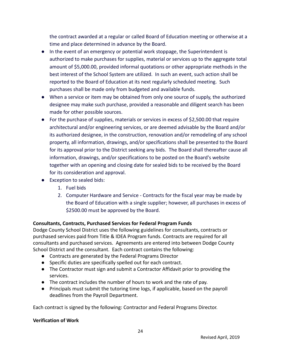the contract awarded at a regular or called Board of Education meeting or otherwise at a time and place determined in advance by the Board.

- In the event of an emergency or potential work stoppage, the Superintendent is authorized to make purchases for supplies, material or services up to the aggregate total amount of \$5,000.00, provided informal quotations or other appropriate methods in the best interest of the School System are utilized. In such an event, such action shall be reported to the Board of Education at its next regularly scheduled meeting. Such purchases shall be made only from budgeted and available funds.
- When a service or item may be obtained from only one source of supply, the authorized designee may make such purchase, provided a reasonable and diligent search has been made for other possible sources.
- For the purchase of supplies, materials or services in excess of \$2,500.00 that require architectural and/or engineering services, or are deemed advisable by the Board and/or its authorized designee, in the construction, renovation and/or remodeling of any school property, all information, drawings, and/or specifications shall be presented to the Board for its approval prior to the District seeking any bids. The Board shall thereafter cause all information, drawings, and/or specifications to be posted on the Board's website together with an opening and closing date for sealed bids to be received by the Board for its consideration and approval.
- Exception to sealed bids:
	- 1. Fuel bids
	- 2. Computer Hardware and Service Contracts for the fiscal year may be made by the Board of Education with a single supplier; however, all purchases in excess of \$2500.00 must be approved by the Board.

# **Consultants, Contracts, Purchased Services for Federal Program Funds**

Dodge County School District uses the following guidelines for consultants, contracts or purchased services paid from Title & IDEA Program funds. Contracts are required for all consultants and purchased services. Agreements are entered into between Dodge County School District and the consultant. Each contract contains the following:

- Contracts are generated by the Federal Programs Director
- Specific duties are specifically spelled out for each contract.
- The Contractor must sign and submit a Contractor Affidavit prior to providing the services.
- The contract includes the number of hours to work and the rate of pay.
- Principals must submit the tutoring time logs, if applicable, based on the payroll deadlines from the Payroll Department.

Each contract is signed by the following: Contractor and Federal Programs Director.

#### **Verification of Work**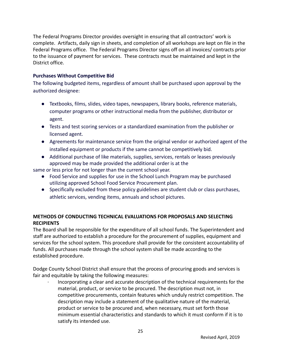The Federal Programs Director provides oversight in ensuring that all contractors' work is complete. Artifacts, daily sign in sheets, and completion of all workshops are kept on file in the Federal Programs office. The Federal Programs Director signs off on all invoices/ contracts prior to the issuance of payment for services. These contracts must be maintained and kept in the District office.

### **Purchases Without Competitive Bid**

The following budgeted items, regardless of amount shall be purchased upon approval by the authorized designee:

- Textbooks, films, slides, video tapes, newspapers, library books, reference materials, computer programs or other instructional media from the publisher, distributor or agent.
- Tests and test scoring services or a standardized examination from the publisher or licensed agent.
- Agreements for maintenance service from the original vendor or authorized agent of the installed equipment or products if the same cannot be competitively bid.
- Additional purchase of like materials, supplies, services, rentals or leases previously approved may be made provided the additional order is at the

same or less price for not longer than the current school year.

- Food Service and supplies for use in the School Lunch Program may be purchased utilizing approved School Food Service Procurement plan.
- Specifically excluded from these policy guidelines are student club or class purchases, athletic services, vending items, annuals and school pictures.

# **METHODS OF CONDUCTING TECHNICAL EVALUATIONS FOR PROPOSALS AND SELECTING RECIPIENTS**

The Board shall be responsible for the expenditure of all school funds. The Superintendent and staff are authorized to establish a procedure for the procurement of supplies, equipment and services for the school system. This procedure shall provide for the consistent accountability of funds. All purchases made through the school system shall be made according to the established procedure.

Dodge County School District shall ensure that the process of procuring goods and services is fair and equitable by taking the following measures:

· Incorporating a clear and accurate description of the technical requirements for the material, product, or service to be procured. The description must not, in competitive procurements, contain features which unduly restrict competition. The description may include a statement of the qualitative nature of the material, product or service to be procured and, when necessary, must set forth those minimum essential characteristics and standards to which it must conform if it is to satisfy its intended use.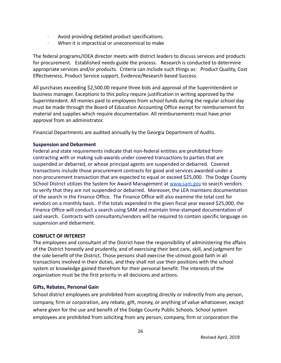- Avoid providing detailed product specifications.
- When it is impractical or uneconomical to make

The federal programs/IDEA director meets with district leaders to discuss services and products for procurement. Established needs guide the process. Research is conducted to determine appropriate services and/or products. Criteria can include such things as: Product Quality, Cost Effectiveness, Product Service support, Evidence/Research based Success.

All purchases exceeding \$2,500.00 require three bids and approval of the Superintendent or business manager. Exceptions to this policy require justification in writing approved by the Superintendent. All monies paid to employees from school funds during the regular school day must be made through the Board of Education Accounting Office except for reimbursement for material and supplies which require documentation. All reimbursements must have prior approval from an administrator.

Financial Departments are audited annually by the Georgia Department of Audits.

#### **Suspension and Debarment**

Federal and state requirements indicate that non-federal entities are prohibited from contracting with or making sub-awards under covered transactions to parties that are suspended or debarred, or whose principal agents are suspended or debarred. Covered transactions include those procurement contracts for good and services awarded under a non-procurement transaction that are expected to equal or exceed \$25,000. The Dodge County SChool District utilizes the System for Award Management at [www.sam.gov](http://www.sam.gov) to search vendors to verify that they are not suspended or debarred. Moreover, the LEA maintains documentation of the search in the Finance Office. The Finance Office will also examine the total cost for vendors on a monthly basis. If the totals expended in the given fiscal year exceed \$25,000, the Finance Office will conduct a search using SAM and maintain time-stamped documentation of said search. Contracts with consultants/vendors will be required to contain specific language on suspension and debarment.

#### **CONFLICT OF INTEREST**

The employees and consultant of the District have the responsibility of administering the affairs of the District honestly and prudently, and of exercising their best care, skill, and judgment for the sole benefit of the District. Those persons shall exercise the utmost good faith in all transactions involved in their duties, and they shall not use their positions with the school system or knowledge gained therefrom for their personal benefit. The interests of the organization must be the first priority in all decisions and actions.

#### **Gifts, Rebates, Personal Gain**

School district employees are prohibited from accepting directly or indirectly from any person, company, firm or corporation, any rebate, gift, money, or anything of value whatsoever, except where given for the use and benefit of the Dodge County Public Schools. School system employees are prohibited from soliciting from any person, company, firm or corporation the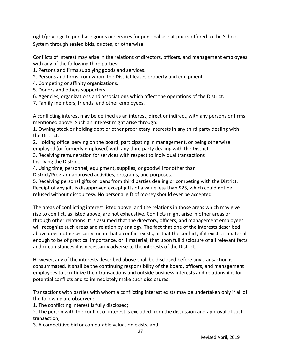right/privilege to purchase goods or services for personal use at prices offered to the School System through sealed bids, quotes, or otherwise.

Conflicts of interest may arise in the relations of directors, officers, and management employees with any of the following third parties:

1. Persons and firms supplying goods and services.

2. Persons and firms from whom the District leases property and equipment.

4. Competing or affinity organizations.

5. Donors and others supporters.

6. Agencies, organizations and associations which affect the operations of the District.

7. Family members, friends, and other employees.

A conflicting interest may be defined as an interest, direct or indirect, with any persons or firms mentioned above. Such an interest might arise through:

1. Owning stock or holding debt or other proprietary interests in any third party dealing with the District.

2. Holding office, serving on the board, participating in management, or being otherwise employed (or formerly employed) with any third party dealing with the District.

3. Receiving remuneration for services with respect to individual transactions Involving the District.

4. Using time, personnel, equipment, supplies, or goodwill for other than District/Program-approved activities, programs, and purposes.

5. Receiving personal gifts or loans from third parties dealing or competing with the District. Receipt of any gift is disapproved except gifts of a value less than \$25, which could not be refused without discourtesy. No personal gift of money should ever be accepted.

The areas of conflicting interest listed above, and the relations in those areas which may give rise to conflict, as listed above, are not exhaustive. Conflicts might arise in other areas or through other relations. It is assumed that the directors, officers, and management employees will recognize such areas and relation by analogy. The fact that one of the interests described above does not necessarily mean that a conflict exists, or that the conflict, if it exists, is material enough to be of practical importance, or if material, that upon full disclosure of all relevant facts and circumstances it is necessarily adverse to the interests of the District.

However, any of the interests described above shall be disclosed before any transaction is consummated. It shall be the continuing responsibility of the board, officers, and management employees to scrutinize their transactions and outside business interests and relationships for potential conflicts and to immediately make such disclosures.

Transactions with parties with whom a conflicting interest exists may be undertaken only if all of the following are observed:

1. The conflicting interest is fully disclosed;

2. The person with the conflict of interest is excluded from the discussion and approval of such transaction;

3. A competitive bid or comparable valuation exists; and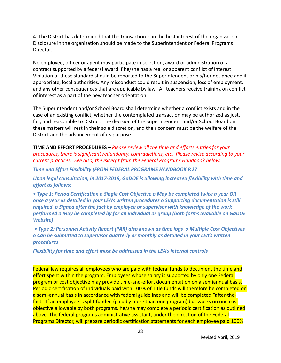4. The District has determined that the transaction is in the best interest of the organization. Disclosure in the organization should be made to the Superintendent or Federal Programs Director.

No employee, officer or agent may participate in selection, award or administration of a contract supported by a federal award if he/she has a real or apparent conflict of interest. Violation of these standard should be reported to the Superintendent or his/her designee and if appropriate, local authorities. Any misconduct could result in suspension, loss of employment, and any other consequences that are applicable by law. All teachers receive training on conflict of interest as a part of the new teacher orientation.

The Superintendent and/or School Board shall determine whether a conflict exists and in the case of an existing conflict, whether the contemplated transaction may be authorized as just, fair, and reasonable to District. The decision of the Superintendent and/or School Board on these matters will rest in their sole discretion, and their concern must be the welfare of the District and the advancement of its purpose.

**TIME AND EFFORT PROCEDURES –** *Please review all the time and efforts entries for your procedures, there is significant redundancy, contradictions, etc. Please revise according to your current practices. See also, the excerpt from the Federal Programs Handbook below.*

*Time and Effort Flexibility (FROM FEDERAL PROGRAMS HANDBOOK P.27*

*Upon legal consultation, in 2017-2018, GaDOE is allowing increased flexibility with time and effort as follows:*

*• Type 1: Period Certification o Single Cost Objective o May be completed twice a year OR once a year as detailed in your LEA's written procedures o Supporting documentation is still required o Signed after the fact by employee or supervisor with knowledge of the work performed o May be completed by for an individual or group (both forms available on GaDOE Website)*

*• Type 2: Personnel Activity Report (PAR) also known as time logs o Multiple Cost Objectives o Can be submitted to supervisor quarterly or monthly as detailed in your LEA's written procedures*

*Flexibility for time and effort must be addressed in the LEA's internal controls*

Federal law requires all employees who are paid with federal funds to document the time and effort spent within the program. Employees whose salary is supported by only one Federal program or cost objective may provide time-and-effort documentation on a semiannual basis. Periodic certification of individuals paid with 100% of Title funds will therefore be completed on a semi-annual basis in accordance with federal guidelines and will be completed "after-thefact." If an employee is split-funded (paid by more than one program) but works on one cost objective allowable by both programs, he/she may complete a periodic certification as outlined above. The federal programs administrative assistant, under the direction of the Federal Programs Director, will prepare periodic certification statements for each employee paid 100%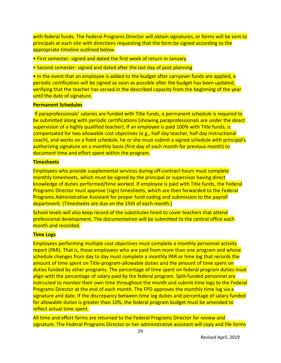with federal funds. The Federal Programs Director will obtain signatures, or forms will be sent to principals at each site with directions requesting that the form be signed according to the appropriate timeline outlined below.

• First semester: signed and dated the first week of return in January

• Second semester: signed and dated after the last day of post planning

• In the event that an employee is added to the budget after carryover funds are applied, a periodic certification will be signed as soon as possible after the budget has been updated, verifying that the teacher has served in the described capacity from the beginning of the year until the date of signature.

## **Permanent Schedules**

If paraprofessionals' salaries are funded with Title funds, a permanent schedule is required to be submitted along with periodic certifications (showing paraprofessionals are under the direct supervision of a highly qualified teacher). If an employee is paid 100% with Title funds, is compensated for two allowable cost objectives (e.g., half day teacher, half day instructional coach), and works on a fixed schedule, he or she must submit a signed schedule with principal's authorizing signature on a monthly basis (first day of each month for previous month) to document time and effort spent within the program.

### **Timesheets**

Employees who provide supplemental services during off-contract hours must complete monthly timesheets, which must be signed by the principal or supervisor having direct knowledge of duties performed/time worked. If employee is paid with Title funds, the Federal Programs Director must approve (sign) timesheets, which are then forwarded to the Federal Programs Administrative Assistant for proper fund coding and submission to the payroll department. (Timesheets are due on the 15th of each month.)

School levels will also keep record of the substitutes hired to cover teachers that attend professional development. The documentation will be submitted to the central office each month and recorded.

#### **Time Logs**

Employees performing multiple cost objectives must complete a monthly personnel activity report (PAR). That is, those employees who are paid from more than one program and whose schedule changes from day to day must complete a monthly PAR or time log that records the amount of time spent on Title-program-allowable duties and the amount of time spent on duties funded by other programs. The percentage of time spent on federal program duties must align with the percentage of salary paid by the federal program. Split-funded personnel are instructed to monitor their own time throughout the month and submit time logs to the Federal Programs Director at the end of each month. The FPD approves the monthly time log via a signature and date. If the discrepancy between time log duties and percentage of salary funded for allowable duties is greater than 10%, the federal program budget must be amended to reflect actual time spent.

All time and effort forms are returned to the Federal Programs Director for review and signature. The Federal Programs Director or her administrative assistant will copy and file forms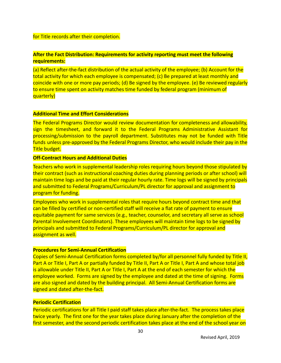#### for Title records after their completion.

### **After the Fact Distribution: Requirements for activity reporting must meet the following requirements:**

(a) Reflect after-the-fact distribution of the actual activity of the employee; (b) Account for the total activity for which each employee is compensated; (c) Be prepared at least monthly and coincide with one or more pay periods; (d) Be signed by the employee. (e) Be reviewed regularly to ensure time spent on activity matches time funded by federal program (minimum of quarterly)

#### **Additional Time and Effort Considerations**

The Federal Programs Director would review documentation for completeness and allowability, sign the timesheet, and forward it to the Federal Programs Administrative Assistant for processing/submission to the payroll department. Substitutes may not be funded with Title funds unless pre-approved by the Federal Programs Director, who would include their pay in the **Title budget.** 

#### **Off-Contract Hours and Additional Duties**

Teachers who work in supplemental leadership roles requiring hours beyond those stipulated by their contract (such as instructional coaching duties during planning periods or after school) will maintain time logs and be paid at their regular hourly rate. Time logs will be signed by principals and submitted to Federal Programs/Curriculum/PL director for approval and assignment to program for funding.

Employees who work in supplemental roles that require hours beyond contract time and that can be filled by certified or non-certified staff will receive a flat rate of payment to ensure equitable payment for same services (e.g., teacher, counselor, and secretary all serve as school Parental Involvement Coordinators). These employees will maintain time logs to be signed by principals and submitted to Federal Programs/Curriculum/PL director for approval and assignment as well.

#### **Procedures for Semi-Annual Certification**

Copies of Semi-Annual Certification forms completed by/for all personnel fully funded by Title II, Part A or Title I, Part A or partially funded by Title II, Part A or Title I, Part A and whose total job is allowable under Title II, Part A or Title I, Part A at the end of each semester for which the employee worked. Forms are signed by the employee and dated at the time of signing. Forms are also signed and dated by the building principal. All Semi-Annual Certification forms are signed and dated after-the-fact.

#### **Periodic Certification**

Periodic certifications for all Title I paid staff takes place after-the-fact. The process takes place twice yearly. The first one for the year takes place during January after the completion of the first semester, and the second periodic certification takes place at the end of the school year on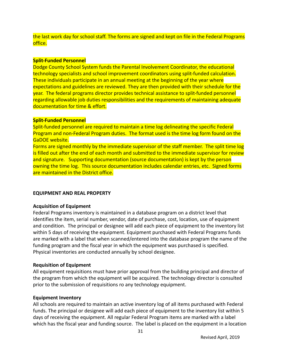the last work day for school staff. The forms are signed and kept on file in the Federal Programs office.

#### **Split-Funded Personnel**

Dodge County School System funds the Parental Involvement Coordinator, the educational technology specialists and school improvement coordinators using split-funded calculation. These individuals participate in an annual meeting at the beginning of the year where expectations and guidelines are reviewed. They are then provided with their schedule for the year. The federal programs director provides technical assistance to split-funded personnel regarding allowable job duties responsibilities and the requirements of maintaining adequate documentation for time & effort.

#### **Split-Funded Personnel**

Split-funded personnel are required to maintain a time log delineating the specific Federal Program and non-Federal Program duties. The format used is the time log form found on the GaDOE website.

Forms are signed monthly by the immediate supervisor of the staff member. The split time log is filled out after the end of each month and submitted to the immediate supervisor for review and signature. Supporting documentation (source documentation) is kept by the person owning the time log. This source documentation includes calendar entries, etc. Signed forms are maintained in the District office.

#### **EQUIPMENT AND REAL PROPERTY**

#### **Acquisition of Equipment**

Federal Programs inventory is maintained in a database program on a district level that identifies the item, serial number, vendor, date of purchase, cost, location, use of equipment and condition. The principal or designee will add each piece of equipment to the inventory list within 5 days of receiving the equipment. Equipment purchased with Federal Programs funds are marked with a label that when scanned/entered into the database program the name of the funding program and the fiscal year in which the equipment was purchased is specified. Physical inventories are conducted annually by school designee.

#### **Requisition of Equipment**

All equipment requisitions must have prior approval from the building principal and director of the program from which the equipment will be acquired. The technology director is consulted prior to the submission of requisitions ro any technology equipment.

#### **Equipment Inventory**

All schools are required to maintain an active inventory log of all items purchased with Federal funds. The principal or designee will add each piece of equipment to the inventory list within 5 days of receiving the equipment. All regular Federal Program items are marked with a label which has the fiscal year and funding source. The label is placed on the equipment in a location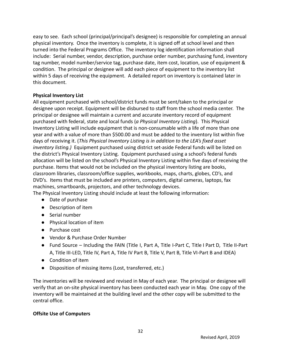easy to see. Each school (principal/principal's designee) is responsible for completing an annual physical inventory. Once the inventory is complete, it is signed off at school level and then turned into the Federal Programs Office. The inventory log identification information shall include: Serial number, vendor, description, purchase order number, purchasing fund, inventory tag number, model number/service tag, purchase date, item cost, location, use of equipment & condition. The principal or designee will add each piece of equipment to the inventory list within 5 days of receiving the equipment. A detailed report on inventory is contained later in this document.

### **Physical Inventory List**

All equipment purchased with school/district funds must be sent/taken to the principal or designee upon receipt. Equipment will be disbursed to staff from the school media center. The principal or designee will maintain a current and accurate inventory record of equipment purchased with federal, state and local funds (*a Physical Inventory Listing*). This Physical Inventory Listing will include equipment that is non-consumable with a life of more than one year and with a value of more than \$500.00 and must be added to the inventory list within five days of receiving it. (*This Physical Inventory Listing is in addition to the LEA's fixed asset inventory listing.)* Equipment purchased using district set-aside Federal funds will be listed on the district's Physical Inventory Listing. Equipment purchased using a school's federal funds allocation will be listed on the school's Physical Inventory Listing within five days of receiving the purchase. Items that would not be included on the physical inventory listing are books, classroom libraries, classroom/office supplies, workbooks, maps, charts, globes, CD's, and DVD's. Items that must be included are printers, computers, digital cameras, laptops, fax machines, smartboards, projectors, and other technology devices.

The Physical Inventory Listing should include at least the following information:

- Date of purchase
- Description of item
- Serial number
- Physical location of item
- Purchase cost
- Vendor & Purchase Order Number
- Fund Source Including the FAIN (Title I, Part A, Title I-Part C, Title I Part D, Title II-Part A, Title III-LED, Title IV, Part A, Title IV Part B, Title V, Part B, Title VI-Part B and IDEA)
- Condition of item
- Disposition of missing items (Lost, transferred, etc.)

The inventories will be reviewed and revised in May of each year. The principal or designee will verify that an on-site physical inventory has been conducted each year in May. One copy of the inventory will be maintained at the building level and the other copy will be submitted to the central office.

# **Offsite Use of Computers**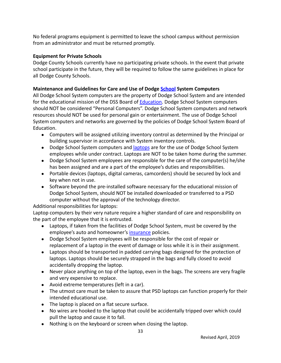No federal programs equipment is permitted to leave the school campus without permission from an administrator and must be returned promptly.

# **Equipment for Private Schools**

Dodge County Schools currently have no participating private schools. In the event that private school participate in the future, they will be required to follow the same guidelines in place for all Dodge County Schools.

# **Maintenance and Guidelines for Care and Use of Dodge [School](http://www3.polk.k12.ga.us/computerguidelines.htm) System Computers**

All Dodge School System computers are the property of Dodge School System and are intended for the educational mission of the DSS Board of **Education**. Dodge School System computers should NOT be considered "Personal Computers". Dodge School System computers and network resources should NOT be used for personal gain or entertainment. The use of Dodge School System computers and networks are governed by the policies of Dodge School System Board of Education.

- Computers will be assigned utilizing inventory control as determined by the Principal or building supervisor in accordance with System inventory controls.
- Dodge School System computers and [laptops](http://www3.polk.k12.ga.us/computerguidelines.htm) are for the use of Dodge School System employees while under contract. Laptops are NOT to be taken home during the summer.
- Dodge School System employees are responsible for the care of the computer(s) he/she has been assigned and are a part of the employee's duties and responsibilities.
- Portable devices (laptops, digital cameras, camcorders) should be secured by lock and key when not in use.
- Software beyond the pre-installed software necessary for the educational mission of Dodge School System, should NOT be installed downloaded or transferred to a PSD computer without the approval of the technology director.

Additional responsibilities for laptops:

Laptop computers by their very nature require a higher standard of care and responsibility on the part of the employee that it is entrusted.

- Laptops, if taken from the facilities of Dodge School System, must be covered by the employee's auto and homeowner's [insurance](http://www3.polk.k12.ga.us/computerguidelines.htm) policies.
- Dodge School System employees will be responsible for the cost of repair or replacement of a laptop in the event of damage or loss while it is in their assignment.
- Laptops should be transported in padded carrying bags designed for the protection of laptops. Laptops should be securely strapped in the bags and fully closed to avoid accidentally dropping the laptop.
- Never place anything on top of the laptop, even in the bags. The screens are very fragile and very expensive to replace.
- Avoid extreme temperatures (left in a car).
- The utmost care must be taken to assure that PSD laptops can function properly for their intended educational use.
- The laptop is placed on a flat secure surface.
- No wires are hooked to the laptop that could be accidentally tripped over which could pull the laptop and cause it to fall.
- Nothing is on the keyboard or screen when closing the laptop.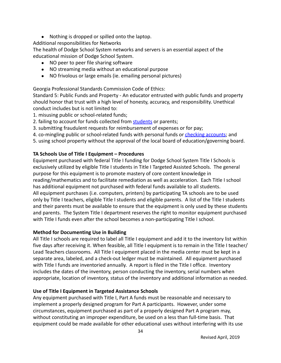- Nothing is dropped or spilled onto the laptop.
- Additional responsibilities for Networks

The health of Dodge School System networks and servers is an essential aspect of the educational mission of Dodge School System.

- NO peer to peer file sharing software
- NO streaming media without an educational purpose
- NO frivolous or large emails (ie. emailing personal pictures)

Georgia Professional Standards Commission Code of Ethics:

Standard 5: Public Funds and Property - An educator entrusted with public funds and property should honor that trust with a high level of honesty, accuracy, and responsibility. Unethical conduct includes but is not limited to:

- 1. misusing public or school-related funds;
- 2. failing to account for funds collected from [students](http://www3.polk.k12.ga.us/computerguidelines.htm) or parents;
- 3. submitting fraudulent requests for reimbursement of expenses or for pay;
- 4. co-mingling public or school-related funds with personal funds or [checking accounts](http://www3.polk.k12.ga.us/computerguidelines.htm); and
- 5. using school property without the approval of the local board of education/governing board.

# **TA Schools Use of Title I Equipment – Procedures**

Equipment purchased with federal Title I funding for Dodge School System Title I Schools is exclusively utilized by eligible Title I students in Title I Targeted Assisted Schools. The general purpose for this equipment is to promote mastery of core content knowledge in reading/mathematics and to facilitate remediation as well as acceleration. Each Title I school has additional equipment not purchased with federal funds available to all students. All equipment purchases (i.e. computers, printers) by participating TA schools are to be used only by Title I teachers, eligible Title I students and eligible parents. A list of the Title I students and their parents must be available to ensure that the equipment is only used by these students and parents. The System Title I department reserves the right to monitor equipment purchased with Title I funds even after the school becomes a non-participating Title I school.

# **Method for Documenting Use in Building**

All Title I schools are required to label all Title I equipment and add it to the inventory list within five days after receiving it. When feasible, all Title I equipment is to remain in the Title I teacher/ Lead Teachers classrooms. All Title I equipment placed in the media center must be kept in a separate area, labeled, and a check-out ledger must be maintained. All equipment purchased with Title I funds are inventoried annually. A report is filed in the Title I office. Inventory includes the dates of the inventory, person conducting the inventory, serial numbers when appropriate, location of inventory, status of the inventory and additional information as needed.

# **Use of Title I Equipment in Targeted Assistance Schools**

Any equipment purchased with Title I, Part A funds must be reasonable and necessary to implement a properly designed program for Part A participants. However, under some circumstances, equipment purchased as part of a properly designed Part A program may, without constituting an improper expenditure, be used on a less than full-time basis. That equipment could be made available for other educational uses without interfering with its use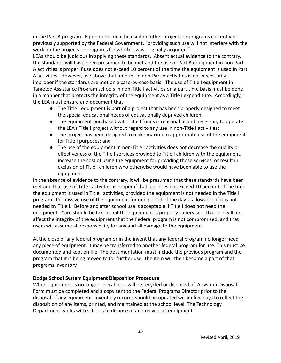in the Part A program. Equipment could be used on other projects or programs currently or previously supported by the Federal Government, "providing such use will not interfere with the work on the projects or programs for which it was originally acquired."

LEAs should be judicious in applying these standards. Absent actual evidence to the contrary, the standards will have been presumed to be met and the use of Part A equipment in non-Part A activities is proper if use does not exceed 10 percent of the time the equipment is used in Part A activities. However, use above that amount in non-Part A activities is not necessarily improper if the standards are met on a case-by-case basis. The use of Title I equipment in Targeted Assistance Program schools in non-Title I activities on a part-time basis must be done in a manner that protects the integrity of the equipment as a Title I expenditure. Accordingly, the LEA must ensure and document that

- The Title I equipment is part of a project that has been properly designed to meet the special educational needs of educationally deprived children.
- The equipment purchased with Title I funds is reasonable and necessary to operate the LEA's Title I project without regard to any use in non-Title I activities;
- The project has been designed to make maximum appropriate use of the equipment for Title I purposes; and
- The use of the equipment in non-Title I activities does not decrease the quality or effectiveness of the Title I services provided to Title I children with the equipment, increase the cost of using the equipment for providing those services, or result in exclusion of Title I children who otherwise would have been able to use the equipment.

In the absence of evidence to the contrary, it will be presumed that these standards have been met and that use of Title I activities is proper if that use does not exceed 10 percent of the time the equipment is used in Title I activities, provided the equipment is not needed in the Title I program. Permissive use of the equipment for one period of the day is allowable, if it is not needed by Title I. Before and after school use is acceptable if Title I does not need the equipment. Care should be taken that the equipment is properly supervised, that use will not affect the integrity of the equipment that the Federal program is not compromised, and that users will assume all responsibility for any and all damage to the equipment.

At the close of any federal program or in the invent that any federal program no longer need any piece of equipment, it may be transferred to another federal program for use. This must be documented and kept on file. The documentation must include the previous program and the program that it is being moved to for further use. The item will then become a part of that programs inventory.

# **Dodge School System Equipment Disposition Procedure**

When equipment is no longer operable, it will be recycled or disposed of. A system Disposal Form must be completed and a copy sent to the Federal Programs Director prior to the disposal of any equipment. Inventory records should be updated within five days to reflect the disposition of any items, printed, and maintained at the school level. The Technology Department works with schools to dispose of and recycle all equipment.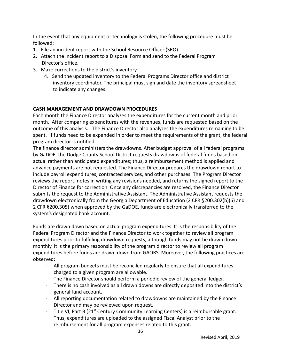In the event that any equipment or technology is stolen, the following procedure must be followed:

- 1. File an incident report with the School Resource Officer (SRO).
- 2. Attach the incident report to a Disposal Form and send to the Federal Program Director's office.
- 3. Make corrections to the district's inventory.
	- 4. Send the updated inventory to the Federal Programs Director office and district inventory coordinator. The principal must sign and date the inventory spreadsheet to indicate any changes.

#### **CASH MANAGEMENT AND DRAWDOWN PROCEDURES**

Each month the Finance Director analyzes the expenditures for the current month and prior month. After comparing expenditures with the revenues, funds are requested based on the outcome of this analysis. The Finance Director also analyzes the expenditures remaining to be spent. If funds need to be expended in order to meet the requirements of the grant, the federal program director is notified.

The finance director administers the drawdowns. After budget approval of all federal programs by GaDOE, the Dodge County School District requests drawdowns of federal funds based on actual rather than anticipated expenditures; thus, a reimbursement method is applied and advance payments are not requested. The Finance Director prepares the drawdown report to include payroll expenditures, contracted services, and other purchases. The Program Director reviews the report, notes in writing any revisions needed, and returns the signed report to the Director of Finance for correction. Once any discrepancies are resolved, the Finance Director submits the request to the Administrative Assistant. The Administrative Assistant requests the drawdown electronically from the Georgia Department of Education (2 CFR §200.302(b)(6) and 2 CFR §200.305) when approved by the GaDOE, funds are electronically transferred to the system's designated bank account.

Funds are drawn down based on actual program expenditures. It is the responsibility of the Federal Program Director and the Finance Director to work together to review all program expenditures prior to fulfilling drawdown requests, although funds may not be drawn down monthly. It is the primary responsibility of the program director to review all program expenditures before funds are drawn down from GAORS. Moreover, the following practices are observed:

- · All program budgets must be reconciled regularly to ensure that all expenditures charged to a given program are allowable.
- · The Finance Director should perform a periodic review of the general ledger.
- There is no cash involved as all drawn downs are directly deposited into the district's general fund account.
- · All reporting documentation related to drawdowns are maintained by the Finance Director and may be reviewed upon request.
- Title VI, Part B  $(21^{st}$  Century Community Learning Centers) is a reimbursable grant. Thus, expenditures are uploaded to the assigned Fiscal Analyst prior to the reimbursement for all program expenses related to this grant.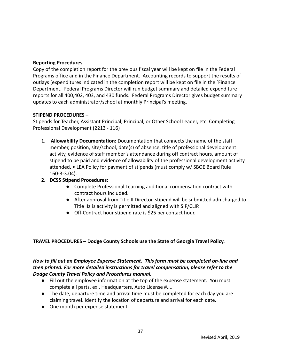#### **Reporting Procedures**

Copy of the completion report for the previous fiscal year will be kept on file in the Federal Programs office and in the Finance Department. Accounting records to support the results of outlays (expenditures indicated in the completion report will be kept on file in the `Finance Department. Federal Programs Director will run budget summary and detailed expenditure reports for all 400,402, 403, and 430 funds. Federal Programs Director gives budget summary updates to each administrator/school at monthly Principal's meeting.

### **STIPEND PROCEDURES –**

Stipends for Teacher, Assistant Principal, Principal, or Other School Leader, etc. Completing Professional Development (2213 - 116)

- 1. **Allowability Documentation:** Documentation that connects the name of the staff member, position, site/school, date(s) of absence, title of professional development activity, evidence of staff member's attendance during off contract hours, amount of stipend to be paid and evidence of allowability of the professional development activity attended. • LEA Policy for payment of stipends (must comply w/ SBOE Board Rule 160-3-3.04).
- **2. DCSS Stipend Procedures:**
	- Complete Professional Learning additional compensation contract with contract hours included.
	- After approval from Title II Director, stipend will be submitted adn charged to Title IIa is activity is permitted and aligned with SIP/CLIP.
	- Off-Contract hour stipend rate is \$25 per contact hour.

# **TRAVEL PROCEDURES – Dodge County Schools use the State of Georgia Travel Policy.**

# *How to fill out an Employee Expense Statement. This form must be completed on-line and then printed. For more detailed instructions for travel compensation, please refer to the Dodge County Travel Policy and Procedures manual.*

- Fill out the employee information at the top of the expense statement. You must complete all parts, ex., Headquarters, Auto License #....
- The date, departure time and arrival time must be completed for each day you are claiming travel. Identify the location of departure and arrival for each date.
- One month per expense statement.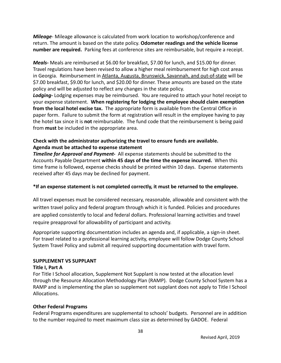*Mileage*- Mileage allowance is calculated from work location to workshop/conference and return. The amount is based on the state policy. **Odometer readings and the vehicle license number are required.** Parking fees at conference sites are reimbursable, but require a receipt.

*Meals-* Meals are reimbursed at \$6.00 for breakfast, \$7.00 for lunch, and \$15.00 for dinner. Travel regulations have been revised to allow a higher meal reimbursement for high cost areas in Georgia. Reimbursement in Atlanta, Augusta, Brunswick, Savannah, and out-of-state will be \$7.00 breakfast, \$9.00 for lunch, and \$20.00 for dinner. These amounts are based on the state policy and will be adjusted to reflect any changes in the state policy.

*Lodging-* Lodging expenses may be reimbursed. You are required to attach your hotel receipt to your expense statement. **When registering for lodging the employee should claim exemption from the local hotel excise tax.** The appropriate form is available from the Central Office in paper form. Failure to submit the form at registration will result in the employee having to pay the hotel tax since it is **not** reimbursable. The fund code that the reimbursement is being paid from **must** be included in the appropriate area.

# **Check with the administrator authorizing the travel to ensure funds are available. Agenda must be attached to expense statement**

*Timeline for Approval and Payment-* All expense statements should be submitted to the Accounts Payable Department **within 45 days of the time the expense incurred.** When this time frame is followed, expense checks should be printed within 10 days. Expense statements received after 45 days may be declined for payment.

# **\*If an expense statement is not completed correctly, it must be returned to the employee.**

All travel expenses must be considered necessary, reasonable, allowable and consistent with the written travel policy and federal program through which it is funded. Policies and procedures are applied consistently to local and federal dollars. Professional learning activities and travel require preapproval for allowability of participant and activity.

Appropriate supporting documentation includes an agenda and, if applicable, a sign-in sheet. For travel related to a professional learning activity, employee will follow Dodge County School System Travel Policy and submit all required supporting documentation with travel form.

# **SUPPLEMENT VS SUPPLANT**

#### **Title I, Part A**

For Title I School allocation, Supplement Not Supplant is now tested at the allocation level through the Resource Allocation Methodology Plan (RAMP). Dodge County School System has a RAMP and is implementing the plan so supplement not supplant does not apply to Title I School Allocations.

#### **Other Federal Programs**

Federal Programs expenditures are supplemental to schools' budgets. Personnel are in addition to the number required to meet maximum class size as determined by GADOE. Federal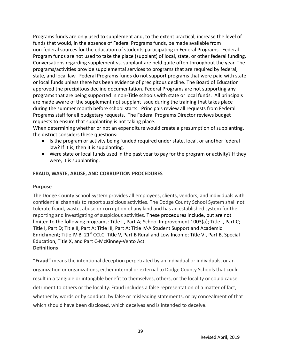Programs funds are only used to supplement and, to the extent practical, increase the level of funds that would, in the absence of Federal Programs funds, be made available from non-federal sources for the education of students participating in Federal Programs. Federal Program funds are not used to take the place (supplant) of local, state, or other federal funding. Conversations regarding supplement vs. supplant are held quite often throughout the year. The programs/activities provide supplemental services to programs that are required by federal, state, and local law. Federal Programs funds do not support programs that were paid with state or local funds unless there has been evidence of precipitous decline. The Board of Education approved the precipitous decline documentation. Federal Programs are not supporting any programs that are being supported in non-Title schools with state or local funds. All principals are made aware of the supplement not supplant issue during the training that takes place during the summer month before school starts. Principals review all requests from Federal Programs staff for all budgetary requests. The Federal Programs Director reviews budget requests to ensure that supplanting is not taking place.

When determining whether or not an expenditure would create a presumption of supplanting, the district considers these questions:

- Is the program or activity being funded required under state, local, or another federal law? If it is, then it is supplanting.
- Were state or local funds used in the past year to pay for the program or activity? If they were, it is supplanting.

### **FRAUD, WASTE, ABUSE, AND CORRUPTION PROCEDURES**

#### **Purpose**

The Dodge County School System provides all employees, clients, vendors, and individuals with confidential channels to report suspicious activities. The Dodge County School System shall not tolerate fraud, waste, abuse or corruption of any kind and has an established system for the reporting and investigating of suspicious activities. These procedures include, but are not limited to the following programs: Title I , Part A; School Improvement 1003(a); Title I, Part C; Title I, Part D; Title II, Part A; Title III, Part A; Title IV-A Student Support and Academic Enrichment; Title IV-B, 21<sup>st</sup> CCLC; Title V, Part B Rural and Low Income; Title VI, Part B, Special Education, Title X, and Part C-McKinney-Vento Act. **Definitions**

**"Fraud"** means the intentional deception perpetrated by an individual or individuals, or an organization or organizations, either internal or external to Dodge County Schools that could result in a tangible or intangible benefit to themselves, others, or the locality or could cause detriment to others or the locality. Fraud includes a false representation of a matter of fact, whether by words or by conduct, by false or misleading statements, or by concealment of that which should have been disclosed, which deceives and is intended to deceive.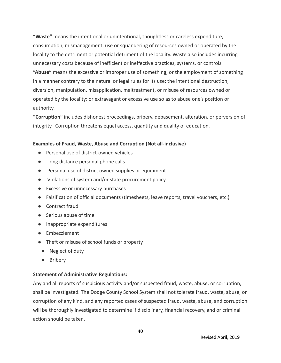**"Waste"** means the intentional or unintentional, thoughtless or careless expenditure, consumption, mismanagement, use or squandering of resources owned or operated by the locality to the detriment or potential detriment of the locality. Waste also includes incurring unnecessary costs because of inefficient or ineffective practices, systems, or controls. **"Abuse"** means the excessive or improper use of something, or the employment of something in a manner contrary to the natural or legal rules for its use; the intentional destruction, diversion, manipulation, misapplication, maltreatment, or misuse of resources owned or operated by the locality: or extravagant or excessive use so as to abuse one's position or authority.

**"Corruption"** includes dishonest proceedings, bribery, debasement, alteration, or perversion of integrity. Corruption threatens equal access, quantity and quality of education.

#### **Examples of Fraud, Waste, Abuse and Corruption (Not all-inclusive)**

- Personal use of district-owned vehicles
- Long distance personal phone calls
- Personal use of district owned supplies or equipment
- Violations of system and/or state procurement policy
- Excessive or unnecessary purchases
- Falsification of official documents (timesheets, leave reports, travel vouchers, etc.)
- Contract fraud
- Serious abuse of time
- Inappropriate expenditures
- Embezzlement
- Theft or misuse of school funds or property
- Neglect of duty
- Bribery

#### **Statement of Administrative Regulations:**

Any and all reports of suspicious activity and/or suspected fraud, waste, abuse, or corruption, shall be investigated. The Dodge County School System shall not tolerate fraud, waste, abuse, or corruption of any kind, and any reported cases of suspected fraud, waste, abuse, and corruption will be thoroughly investigated to determine if disciplinary, financial recovery, and or criminal action should be taken.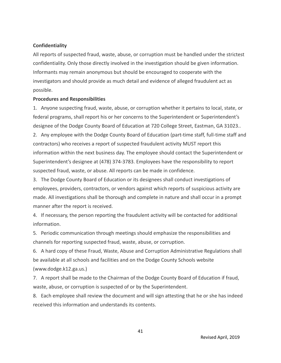#### **Confidentiality**

All reports of suspected fraud, waste, abuse, or corruption must be handled under the strictest confidentiality. Only those directly involved in the investigation should be given information. Informants may remain anonymous but should be encouraged to cooperate with the investigators and should provide as much detail and evidence of alleged fraudulent act as possible.

#### **Procedures and Responsibilities**

1. Anyone suspecting fraud, waste, abuse, or corruption whether it pertains to local, state, or federal programs, shall report his or her concerns to the Superintendent or Superintendent's designee of the Dodge County Board of Education at 720 College Street, Eastman, GA 31023..

2. Any employee with the Dodge County Board of Education (part-time staff, full-time staff and contractors) who receives a report of suspected fraudulent activity MUST report this information within the next business day. The employee should contact the Superintendent or Superintendent's designee at (478) 374-3783. Employees have the responsibility to report suspected fraud, waste, or abuse. All reports can be made in confidence.

3. The Dodge County Board of Education or its designees shall conduct investigations of employees, providers, contractors, or vendors against which reports of suspicious activity are made. All investigations shall be thorough and complete in nature and shall occur in a prompt manner after the report is received.

4. If necessary, the person reporting the fraudulent activity will be contacted for additional information.

5*.* Periodic communication through meetings should emphasize the responsibilities and channels for reporting suspected fraud, waste, abuse, or corruption.

6. A hard copy of these Fraud, Waste, Abuse and Corruption Administrative Regulations shall be available at all schools and facilities and on the Dodge County Schools website (www.dodge.k12.ga.us.)

7. A report shall be made to the Chairman of the Dodge County Board of Education if fraud, waste, abuse, or corruption is suspected of or by the Superintendent.

8. Each employee shall review the document and will sign attesting that he or she has indeed received this information and understands its contents.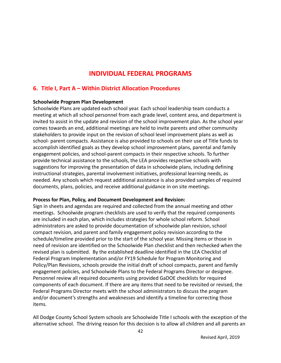# **INDIVIDUAL FEDERAL PROGRAMS**

# **6. Title I, Part A – Within District Allocation Procedures**

### **Schoolwide Program Plan Development**

Schoolwide Plans are updated each school year. Each school leadership team conducts a meeting at which all school personnel from each grade level, content area, and department is invited to assist in the update and revision of the school improvement plan. As the school year comes towards an end, additional meetings are held to invite parents and other community stakeholders to provide input on the revision of school level improvement plans as well as school- parent compacts. Assistance is also provided to schools on their use of Title funds to accomplish identified goals as they develop school improvement plans, parental and family engagement policies, and school-parent compacts in their respective schools. To further provide technical assistance to the schools, the LEA provides respective schools with suggestions for improving the presentation of data in schoolwide plans, including defining instructional strategies, parental involvement initiatives, professional learning needs, as needed. Any schools which request additional assistance is also provided samples of required documents, plans, policies, and receive additional guidance in on site meetings.

#### **Process for Plan, Policy, and Document Development and Revision:**

Sign in sheets and agendas are required and collected from the annual meeting and other meetings. Schoolwide program checklists are used to verify that the required components are included in each plan, which includes strategies for whole school reform. School administrators are asked to provide documentation of schoolwide plan revision, school compact revision, and parent and family engagement policy revision according to the schedule/timeline provided prior to the start of the school year. Missing items or those in need of revision are identified on the Schoolwide Plan checklist and then rechecked when the revised plan is submitted. By the established deadline identified in the LEA Checklist of Federal Program Implementation and/or FY19 Schedule for Program Monitoring and Policy/Plan Revisions, schools provide the initial draft of school compacts, parent and family engagement policies, and Schoolwide Plans to the Federal Programs Director or designee. Personnel review all required documents using provided GaDOE checklists for required components of each document. If there are any items that need to be revisited or revised, the Federal Programs Director meets with the school administrators to discuss the program and/or document's strengths and weaknesses and identify a timeline for correcting those items.

All Dodge County School System schools are Schoolwide Title I schools with the exception of the alternative school. The driving reason for this decision is to allow all children and all parents an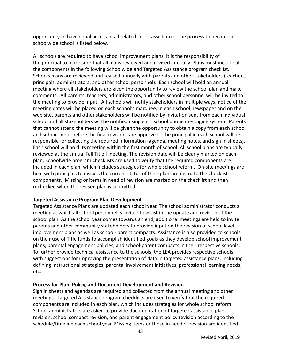opportunity to have equal access to all related Title I assistance. The process to become a schoolwide school is listed below.

All schools are required to have school improvement plans. It is the responsibility of the principal to make sure that all plans reviewed and revised annually. Plans must include all the components in the following Schoolwide and Targeted Assistance program checklist. Schools plans are reviewed and revised annually with parents and other stakeholders (teachers, principals, administrators, and other school personnel). Each school will hold an annual meeting where all stakeholders are given the opportunity to review the school plan and make comments. All parents, teachers, administrators, and other school personnel will be invited to the meeting to provide input. All schools will notify stakeholders in multiple ways, notice of the meeting dates will be placed on each school's marquee, in each school newspaper and on the web site, parents and other stakeholders will be notified by invitation sent from each individual school and all stakeholders will be notified using each school phone messaging system. Parents that cannot attend the meeting will be given the opportunity to obtain a copy from each school and submit input before the final revisions are approved. The principal in each school will be responsible for collecting the required Information (agenda, meeting notes, and sign in sheets). Each school will hold its meeting within the first month of school. All school plans are typically reviewed at the annual Fall Title I meeting. The revision date will be clearly marked on each plan. Schoolwide program checklists are used to verify that the required components are included in each plan, which includes strategies for whole school reform. On-site meetings are held with principals to discuss the current status of their plans in regard to the checklist components. Missing or items in need of revision are marked on the checklist and then rechecked when the revised plan is submitted.

#### **Targeted Assistance Program Plan Development**

Targeted Assistance Plans are updated each school year. The school administrator conducts a meeting at which all school personnel is invited to assist in the update and revision of the school plan. As the school year comes towards an end, additional meetings are held to invite parents and other community stakeholders to provide input on the revision of school level improvement plans as well as school- parent compacts. Assistance is also provided to schools on their use of Title funds to accomplish identified goals as they develop school improvement plans, parental engagement policies, and school-parent compacts in their respective schools. To further provide technical assistance to the schools, the LEA provides respective schools with suggestions for improving the presentation of data in targeted assistance plans, including defining instructional strategies, parental involvement initiatives, professional learning needs, etc.

#### **Process for Plan, Policy, and Document Development and Revision**

Sign in sheets and agendas are required and collected from the annual meeting and other meetings. Targeted Assistance program checklists are used to verify that the required components are included in each plan, which includes strategies for whole school reform. School administrators are asked to provide documentation of targeted assistance plan revision, school compact revision, and parent engagement policy revision according to the schedule/timeline each school year. Missing items or those in need of revision are identified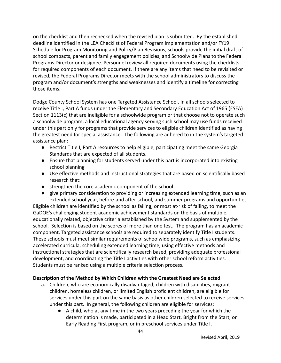on the checklist and then rechecked when the revised plan is submitted. By the established deadline identified in the LEA Checklist of Federal Program Implementation and/or FY19 Schedule for Program Monitoring and Policy/Plan Revisions, schools provide the initial draft of school compacts, parent and family engagement policies, and Schoolwide Plans to the Federal Programs Director or designee. Personnel review all required documents using the checklists for required components of each document. If there are any items that need to be revisited or revised, the Federal Programs Director meets with the school administrators to discuss the program and/or document's strengths and weaknesses and identify a timeline for correcting those items.

Dodge County School System has one Targeted Assistance School. In all schools selected to receive Title I, Part A funds under the Elementary and Secondary Education Act of 1965 (ESEA) Section 1113(c) that are ineligible for a schoolwide program or that choose not to operate such a schoolwide program, a local educational agency serving such school may use funds received under this part only for programs that provide services to eligible children identified as having the greatest need for special assistance. The following are adhered to in the system's targeted assistance plan:

- Restrict Title I, Part A resources to help eligible, participating meet the same Georgia Standards that are expected of all students.
- Ensure that planning for students served under this part is incorporated into existing school planning
- Use effective methods and instructional strategies that are based on scientifically based research that:
- strengthen the core academic component of the school
- give primary consideration to providing or increasing extended learning time, such as an extended school year, before-and after-school, and summer programs and opportunities

Eligible children are identified by the school as failing, or most at-risk of failing, to meet the GaDOE's challenging student academic achievement standards on the basis of multiple, educationally related, objective criteria established by the System and supplemented by the school. Selection is based on the scores of more than one test. The program has an academic component. Targeted assistance schools are required to separately identify Title I students. These schools must meet similar requirements of schoolwide programs, such as emphasizing accelerated curricula, scheduling extended learning time, using effective methods and instructional strategies that are scientifically research based, providing adequate professional development, and coordinating the Title I activities with other school reform activities. Students must be ranked using a multiple criteria selection process.

# **Description of the Method by Which Children with the Greatest Need are Selected**

- a. Children, who are economically disadvantaged, children with disabilities, migrant children, homeless children, or limited English proficient children, are eligible for services under this part on the same basis as other children selected to receive services under this part. In general, the following children are eligible for services:
	- A child, who at any time in the two years preceding the year for which the determination is made, participated in a Head Start, Bright from the Start, or Early Reading First program, or in preschool services under Title I.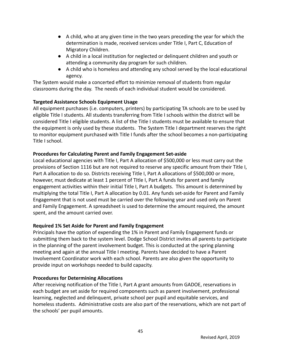- A child, who at any given time in the two years preceding the year for which the determination is made, received services under Title I, Part C, Education of Migratory Children.
- A child in a local institution for neglected or delinquent children and youth or attending a community day program for such children.
- A child who is homeless and attending any school served by the local educational agency.

The System would make a concerted effort to minimize removal of students from regular classrooms during the day. The needs of each individual student would be considered.

# **Targeted Assistance Schools Equipment Usage**

All equipment purchases (i.e. computers, printers) by participating TA schools are to be used by eligible Title I students. All students transferring from Title I schools within the district will be considered Title I eligible students. A list of the Title I students must be available to ensure that the equipment is only used by these students. The System Title I department reserves the right to monitor equipment purchased with Title I funds after the school becomes a non-participating Title I school.

# **Procedures for Calculating Parent and Family Engagement Set-aside**

Local educational agencies with Title I, Part A allocation of \$500,000 or less must carry out the provisions of Section 1116 but are not required to reserve any specific amount from their Title I, Part A allocation to do so. Districts receiving Title I, Part A allocations of \$500,000 or more, however, must dedicate at least 1 percent of TItle I, Part A funds for parent and family engagement activities within their initial Title I, Part A budgets. This amount is determined by multiplying the total Title I, Part A allocation by 0.01. Any funds set-aside for Parent and Family Engagement that is not used must be carried over the following year and used only on Parent and Family Engagement. A spreadsheet is used to determine the amount required, the amount spent, and the amount carried over.

# **Required 1% Set Aside for Parent and Family Engagement**

Principals have the option of expending the 1% in Parent and Family Engagement funds or submitting them back to the system level. Dodge School District invites all parents to participate in the planning of the parent involvement budget. This is conducted at the spring planning meeting and again at the annual Title I meeting. Parents have decided to have a Parent Involvement Coordinator work with each school. Parents are also given the opportunity to provide input on workshops needed to build capacity.

# **Procedures for Determining Allocations**

After receiving notification of the Title I, Part A grant amounts from GADOE, reservations in each budget are set aside for required components such as parent involvement, professional learning, neglected and delinquent, private school per pupil and equitable services, and homeless students. Administrative costs are also part of the reservations, which are not part of the schools' per pupil amounts.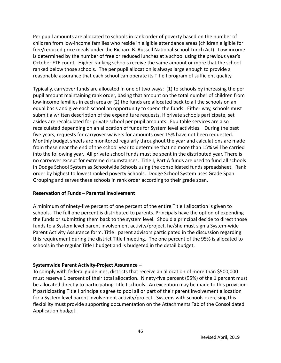Per pupil amounts are allocated to schools in rank order of poverty based on the number of children from low-income families who reside in eligible attendance areas (children eligible for free/reduced price meals under the Richard B. Russell National School Lunch Act). Low-income is determined by the number of free or reduced lunches at a school using the previous year's October FTE count. Higher ranking schools receive the same amount or more that the school ranked below those schools. The per pupil allocation is always large enough to provide a reasonable assurance that each school can operate its Title I program of sufficient quality.

Typically, carryover funds are allocated in one of two ways: (1) to schools by increasing the per pupil amount maintaining rank order, basing that amount on the total number of children from low-income families in each area or (2) the funds are allocated back to all the schools on an equal basis and give each school an opportunity to spend the funds. Either way, schools must submit a written description of the expenditure requests. If private schools participate, set asides are recalculated for private school per pupil amounts. Equitable services are also recalculated depending on an allocation of funds for System level activities. During the past five years, requests for carryover waivers for amounts over 15% have not been requested. Monthly budget sheets are monitored regularly throughout the year and calculations are made from these near the end of the school year to determine that no more than 15% will be carried into the following year. All private school funds must be spent in the distributed year. There is no carryover except for extreme circumstances. Title I, Part A funds are used to fund all schools in Dodge School System as Schoolwide Schools using the consolidated funds spreadsheet. Rank order by highest to lowest ranked poverty Schools. Dodge School System uses Grade Span Grouping and serves these schools in rank order according to their grade span.

#### **Reservation of Funds – Parental Involvement**

A minimum of ninety-five percent of one percent of the entire Title I allocation is given to schools. The full one percent is distributed to parents. Principals have the option of expending the funds or submitting them back to the system level. Should a principal decide to direct those funds to a System level parent involvement activity/project, he/she must sign a System-wide Parent Activity Assurance form. Title I parent advisors participated in the discussion regarding this requirement during the district Title I meeting. The one percent of the 95% is allocated to schools in the regular Title I budget and is budgeted in the detail budget.

#### **Systemwide Parent Activity-Project Assurance –**

To comply with federal guidelines, districts that receive an allocation of more than \$500,000 must reserve 1 percent of their total allocation. Ninety-five percent (95%) of the 1 percent must be allocated directly to participating Title I schools. An exception may be made to this provision if participating Title I principals agree to pool all or part of their parent involvement allocation for a System level parent involvement activity/project. Systems with schools exercising this flexibility must provide supporting documentation on the Attachments Tab of the Consolidated Application budget.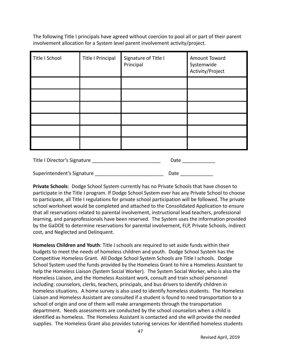The following Title I principals have agreed without coercion to pool all or part of their parent involvement allocation for a System level parent involvement activity/project.

| Title I School | <b>Title I Principal</b> | Signature of Title I<br>Principal | Amount Toward<br>Systemwide<br>Activity/Project |
|----------------|--------------------------|-----------------------------------|-------------------------------------------------|
|                |                          |                                   |                                                 |
|                |                          |                                   |                                                 |
|                |                          |                                   |                                                 |
|                |                          |                                   |                                                 |
|                |                          |                                   |                                                 |
|                |                          |                                   |                                                 |

| Title I Director's Signature | Date |
|------------------------------|------|
| Superintendent's Signature   | Date |

**Private Schools**: Dodge School System currently has no Private Schools that have chosen to participate in the Title I program. If Dodge School System ever has any Private School to choose to participate, all Title I regulations for private school participation will be followed. The private school worksheet would be completed and attached to the Consolidated Application to ensure that all reservations related to parental involvement, instructional lead teachers, professional learning, and paraprofessionals have been reserved. The System uses the information provided by the GaDOE to determine reservations for parental involvement, FLP, Private Schools, indirect cost, and Neglected and Delinquent.

**Homeless Children and Youth**: Title I schools are required to set aside funds within their budgets to meet the needs of homeless children and youth. Dodge School System has the Competitive Homeless Grant. All Dodge School System Schools are Title I schools. Dodge School System used the funds provided by the Homeless Grant to hire a Homeless Assistant to help the Homeless Liaison (System Social Worker). The System Social Worker, who is also the Homeless Liaison, and the Homeless Assistant work, consult and train school personnel including: counselors, clerks, teachers, principals, and bus drivers to identify children in homeless situations. A home survey is also used to identify homeless students. The Homeless Liaison and Homeless Assistant are consulted if a student is found to need transportation to a school of origin and one of them will make arrangements through the transportation department. Needs assessments are conducted by the school counselors when a child is identified as homeless. The Homeless Assistant is contacted and she will provide the needed supplies. The Homeless Grant also provides tutoring services for identified homeless students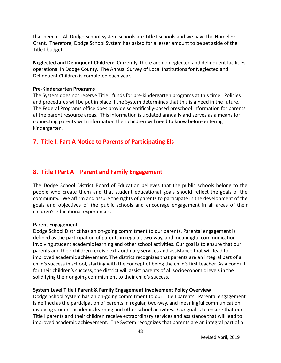that need it. All Dodge School System schools are Title I schools and we have the Homeless Grant. Therefore, Dodge School System has asked for a lesser amount to be set aside of the Title I budget.

**Neglected and Delinquent Children**: Currently, there are no neglected and delinquent facilities operational in Dodge County. The Annual Survey of Local Institutions for Neglected and Delinquent Children is completed each year.

#### **Pre-Kindergarten Programs**

The System does not reserve Title I funds for pre-kindergarten programs at this time. Policies and procedures will be put in place if the System determines that this is a need in the future. The Federal Programs office does provide scientifically-based preschool information for parents at the parent resource areas. This information is updated annually and serves as a means for connecting parents with information their children will need to know before entering kindergarten.

# **7. Title I, Part A Notice to Parents of Participating Els**

# **8. Title I Part A – Parent and Family Engagement**

The Dodge School District Board of Education believes that the public schools belong to the people who create them and that student educational goals should reflect the goals of the community. We affirm and assure the rights of parents to participate in the development of the goals and objectives of the public schools and encourage engagement in all areas of their children's educational experiences.

#### **Parent Engagement**

Dodge School District has an on-going commitment to our parents. Parental engagement is defined as the participation of parents in regular, two-way, and meaningful communication involving student academic learning and other school activities. Our goal is to ensure that our parents and their children receive extraordinary services and assistance that will lead to improved academic achievement. The district recognizes that parents are an integral part of a child's success in school, starting with the concept of being the child's first teacher. As a conduit for their children's success, the district will assist parents of all socioeconomic levels in the solidifying their ongoing commitment to their child's success.

#### **System Level Title I Parent & Family Engagement Involvement Policy Overview**

Dodge School System has an on-going commitment to our Title I parents. Parental engagement is defined as the participation of parents in regular, two-way, and meaningful communication involving student academic learning and other school activities. Our goal is to ensure that our Title I parents and their children receive extraordinary services and assistance that will lead to improved academic achievement. The System recognizes that parents are an integral part of a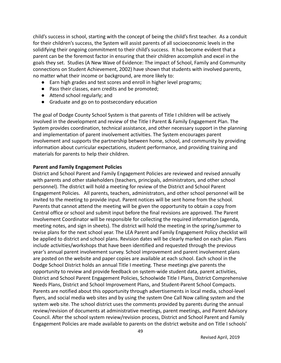child's success in school, starting with the concept of being the child's first teacher. As a conduit for their children's success, the System will assist parents of all socioeconomic levels in the solidifying their ongoing commitment to their child's success. It has become evident that a parent can be the foremost factor in ensuring that their children accomplish and excel in the goals they set. Studies (A New Wave of Evidence: The impact of School, Family and Community connections on Student Achievement, 2002) have shown that students with involved parents, no matter what their income or background, are more likely to:

- Earn high grades and test scores and enroll in higher level programs;
- Pass their classes, earn credits and be promoted;
- Attend school regularly; and
- Graduate and go on to postsecondary education

The goal of Dodge County School System is that parents of Title I children will be actively involved in the development and review of the Title I Parent & Family Engagement Plan. The System provides coordination, technical assistance, and other necessary support in the planning and implementation of parent involvement activities. The System encourages parent involvement and supports the partnership between home, school, and community by providing information about curricular expectations, student performance, and providing training and materials for parents to help their children.

#### **Parent and Family Engagement Policies**

District and School Parent and Family Engagement Policies are reviewed and revised annually with parents and other stakeholders (teachers, principals, administrators, and other school personnel). The district will hold a meeting for review of the District and School Parent Engagement Policies. All parents, teachers, administrators, and other school personnel will be invited to the meeting to provide input. Parent notices will be sent home from the school. Parents that cannot attend the meeting will be given the opportunity to obtain a copy from Central office or school and submit input before the final revisions are approved. The Parent Involvement Coordinator will be responsible for collecting the required information (agenda, meeting notes, and sign in sheets). The district will hold the meeting in the spring/summer to revise plans for the next school year. The LEA Parent and Family Engagement Policy checklist will be applied to district and school plans. Revision dates will be clearly marked on each plan. Plans include activities/workshops that have been identified and requested through the previous year's annual parent involvement survey. School improvement and parent involvement plans are posted on the website and paper copies are available at each school. Each school in the Dodge School District holds an annual Title I meeting. These meetings give parents the opportunity to review and provide feedback on system-wide student data, parent activities, District and School Parent Engagement Policies, Schoolwide Title I Plans, District Comprehensive Needs Plans, District and School Improvement Plans, and Student-Parent School Compacts. Parents are notified about this opportunity through advertisements in local media, school-level flyers, and social media web sites and by using the system One Call Now calling system and the system web site. The school district uses the comments provided by parents during the annual review/revision of documents at administrative meetings, parent meetings, and Parent Advisory Council. After the school system review/revision process, District and School Parent and Family Engagement Policies are made available to parents on the district website and on Title I schools'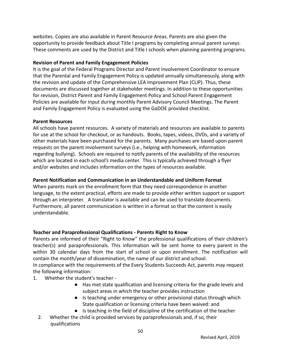websites. Copies are also available in Parent Resource Areas. Parents are also given the opportunity to provide feedback about Title I programs by completing annual parent surveys. These comments are used by the District and Title I schools when planning parenting programs.

## **Revision of Parent and Family Engagement Policies**

It is the goal of the Federal Programs Director and Parent Involvement Coordinator to ensure that the Parental and Family Engagement Policy is updated annually simultaneously, along with the revision and update of the Comprehensive LEA Improvement Plan (CLIP). Thus, these documents are discussed together at stakeholder meetings. In addition to these opportunities for revision, District Parent and Family Engagement Policy and School Parent Engagement Policies are available for input during monthly Parent Advisory Council Meetings. The Parent and Family Engagement Policy is evaluated using the GaDOE provided checklist.

#### **Parent Resources**

All schools have parent resources. A variety of materials and resources are available to parents for use at the school for checkout, or as handouts. Books, tapes, videos, DVDs, and a variety of other materials have been purchased for the parents. Many purchases are based upon parent requests on the parent involvement surveys (i.e., helping with homework, information regarding bullying). Schools are required to notify parents of the availability of the resources which are located in each school's media center. This is typically achieved through a flyer and/or websites and includes information on the types of resources available.

### **Parent Notification and Communication in an Understandable and Uniform Format**

When parents mark on the enrollment form that they need correspondence in another language, to the extent practical, efforts are made to provide either written support or support through an interpreter. A translator is available and can be used to translate documents. Furthermore, all parent communication is written in a format so that the content is easily understandable.

# **Teacher and Paraprofessional Qualifications - Parents Right to Know**

Parents are informed of their "Right to Know" the professional qualifications of their children's teacher(s) and paraprofessionals. This information will be sent home to every parent in the within 30 calendar days from the start of school or upon enrollment. The notification will contain the month/year of dissemination, the name of our district and school.

In compliance with the requirements of the Every Students Succeeds Act, parents may request the following information:

- 1. Whether the student's teacher
	- Has met state qualification and licensing criteria for the grade levels and subject areas in which the teacher provides instruction
	- Is teaching under emergency or other provisional status through which State qualification or licensing criteria have been waived: and
	- Is teaching in the field of discipline of the certification of the teacher
	- 2. Whether the child is provided services by paraprofessionals and, if so, their qualifications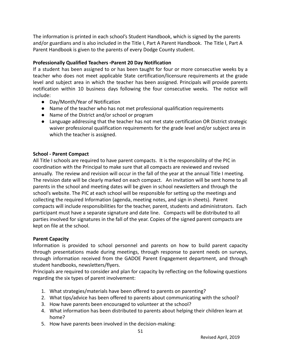The information is printed in each school's Student Handbook, which is signed by the parents and/or guardians and is also included in the Title I, Part A Parent Handbook. The Title I, Part A Parent Handbook is given to the parents of every Dodge County student.

# **Professionally Qualified Teachers -Parent 20 Day Notification**

If a student has been assigned to or has been taught for four or more consecutive weeks by a teacher who does not meet applicable State certification/licensure requirements at the grade level and subject area in which the teacher has been assigned. Principals will provide parents notification within 10 business days following the four consecutive weeks. The notice will include:

- Day/Month/Year of Notification
- Name of the teacher who has not met professional qualification requirements
- Name of the District and/or school or program
- Language addressing that the teacher has not met state certification OR District strategic waiver professional qualification requirements for the grade level and/or subject area in which the teacher is assigned.

# **School - Parent Compact**

All Title I schools are required to have parent compacts. It is the responsibility of the PIC in coordination with the Principal to make sure that all compacts are reviewed and revised annually. The review and revision will occur in the fall of the year at the annual Title I meeting. The revision date will be clearly marked on each compact. An invitation will be sent home to all parents in the school and meeting dates will be given in school newsletters and through the school's website. The PIC at each school will be responsible for setting up the meetings and collecting the required Information (agenda, meeting notes, and sign in sheets). Parent compacts will include responsibilities for the teacher, parent, students and administrators. Each participant must have a separate signature and date line. Compacts will be distributed to all parties involved for signatures in the fall of the year. Copies of the signed parent compacts are kept on file at the school.

#### **Parent Capacity**

Information is provided to school personnel and parents on how to build parent capacity through presentations made during meetings, through response to parent needs on surveys, through information received from the GADOE Parent Engagement department, and through student handbooks, newsletters/flyers.

Principals are required to consider and plan for capacity by reflecting on the following questions regarding the six types of parent involvement:

- 1. What strategies/materials have been offered to parents on parenting?
- 2. What tips/advice has been offered to parents about communicating with the school?
- 3. How have parents been encouraged to volunteer at the school?
- 4. What information has been distributed to parents about helping their children learn at home?
- 5. How have parents been involved in the decision-making: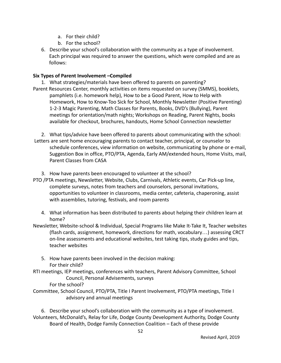- a. For their child?
- b. For the school?
- 6. Describe your school's collaboration with the community as a type of involvement. Each principal was required to answer the questions, which were compiled and are as follows:

#### **Six Types of Parent Involvement –Compiled**

1. What strategies/materials have been offered to parents on parenting? Parent Resources Center, monthly activities on items requested on survey (SMMS), booklets, pamphlets (i.e. homework help), How to be a Good Parent, How to Help with Homework, How to Know-Too Sick for School, Monthly Newsletter (Positive Parenting) 1-2-3 Magic Parenting, Math Classes for Parents, Books, DVD's (Bullying), Parent meetings for orientation/math nights; Workshops on Reading, Parent Nights, books available for checkout, brochures, handouts, Home School Connection newsletter

2. What tips/advice have been offered to parents about communicating with the school: Letters are sent home encouraging parents to contact teacher, principal, or counselor to schedule conferences, view information on website, communicating by phone or e-mail, Suggestion Box in office, PTO/PTA, Agenda, Early AM/extended hours, Home Visits, mail, Parent Classes from CASA

3. How have parents been encouraged to volunteer at the school?

- PTO /PTA meetings, Newsletter, Website, Clubs, Carnivals, Athletic events, Car Pick-up line, complete surveys, notes from teachers and counselors, personal invitations, opportunities to volunteer in classrooms, media center, cafeteria, chaperoning, assist with assemblies, tutoring, festivals, and room parents
	- 4. What information has been distributed to parents about helping their children learn at home?
- Newsletter, Website-school & Individual, Special Programs like Make It-Take It, Teacher websites (flash cards, assignment, homework, directions for math, vocabulary…) assessing CRCT on-line assessments and educational websites, test taking tips, study guides and tips, teacher websites
	- 5. How have parents been involved in the decision making: For their child?

RTI meetings, IEP meetings, conferences with teachers, Parent Advisory Committee, School Council, Personal Advisements, surveys

For the school?

Committee, School Council, PTO/PTA, Title I Parent Involvement, PTO/PTA meetings, Title I advisory and annual meetings

6. Describe your school's collaboration with the community as a type of involvement. Volunteers, McDonald's, Relay for Life, Dodge County Development Authority, Dodge County Board of Health, Dodge Family Connection Coalition – Each of these provide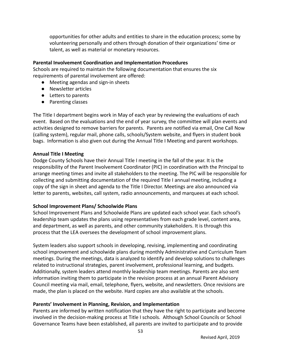opportunities for other adults and entities to share in the education process; some by volunteering personally and others through donation of their organizations' time or talent, as well as material or monetary resources.

#### **Parental Involvement Coordination and Implementation Procedures**

Schools are required to maintain the following documentation that ensures the six requirements of parental involvement are offered:

- Meeting agendas and sign-in sheets
- Newsletter articles
- Letters to parents
- Parenting classes

The Title I department begins work in May of each year by reviewing the evaluations of each event. Based on the evaluations and the end of year survey, the committee will plan events and activities designed to remove barriers for parents. Parents are notified via email, One Call Now (calling system), regular mail, phone calls, schools/System website, and flyers in student book bags. Information is also given out during the Annual Title I Meeting and parent workshops.

# **Annual Title I Meeting**

Dodge County Schools have their Annual Title I meeting in the fall of the year. It is the responsibility of the Parent Involvement Coordinator (PIC) in coordination with the Principal to arrange meeting times and invite all stakeholders to the meeting. The PIC will be responsible for collecting and submitting documentation of the required Title I annual meeting, including a copy of the sign in sheet and agenda to the Title I Director. Meetings are also announced via letter to parents, websites, call system, radio announcements, and marquees at each school.

# **School Improvement Plans/ Schoolwide Plans**

School Improvement Plans and Schoolwide Plans are updated each school year. Each school's leadership team updates the plans using representatives from each grade level, content area, and department, as well as parents, and other community stakeholders. It is through this process that the LEA oversees the development of school improvement plans.

System leaders also support schools in developing, revising, implementing and coordinating school improvement and schoolwide plans during monthly Administrative and Curriculum Team meetings. During the meetings, data is analyzed to identify and develop solutions to challenges related to instructional strategies, parent involvement, professional learning, and budgets. Additionally, system leaders attend monthly leadership team meetings. Parents are also sent information inviting them to participate in the revision process at an annual Parent Advisory Council meeting via mail, email, telephone, flyers, website, and newsletters. Once revisions are made, the plan is placed on the website. Hard copies are also available at the schools.

# **Parents' Involvement in Planning, Revision, and Implementation**

Parents are informed by written notification that they have the right to participate and become involved in the decision-making process at Title I schools. Although School Councils or School Governance Teams have been established, all parents are invited to participate and to provide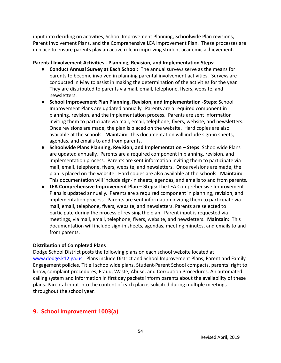input into deciding on activities, School Improvement Planning, Schoolwide Plan revisions, Parent Involvement Plans, and the Comprehensive LEA Improvement Plan. These processes are in place to ensure parents play an active role in improving student academic achievement.

#### **Parental Involvement Activities - Planning, Revision, and Implementation Steps:**

- **Conduct Annual Survey at Each School:** The annual surveys serve as the means for parents to become involved in planning parental involvement activities. Surveys are conducted in May to assist in making the determination of the activities for the year. They are distributed to parents via mail, email, telephone, flyers, website, and newsletters.
- **School Improvement Plan Planning, Revision, and Implementation -Steps**: School Improvement Plans are updated annually. Parents are a required component in planning, revision, and the implementation process. Parents are sent information inviting them to participate via mail, email, telephone, flyers, website, and newsletters. Once revisions are made, the plan is placed on the website. Hard copies are also available at the schools. **Maintain:** This documentation will include sign-in sheets, agendas, and emails to and from parents.
- **Schoolwide Plans Planning, Revision, and Implementation Steps**: Schoolwide Plans are updated annually. Parents are a required component in planning, revision, and implementation process. Parents are sent information inviting them to participate via mail, email, telephone, flyers, website, and newsletters. Once revisions are made, the plan is placed on the website. Hard copies are also available at the schools. **Maintain:** This documentation will include sign-in sheets, agendas, and emails to and from parents.
- **LEA Comprehensive Improvement Plan Steps:** The LEA Comprehensive Improvement Plans is updated annually. Parents are a required component in planning, revision, and implementation process. Parents are sent information inviting them to participate via mail, email, telephone, flyers, website, and newsletters. Parents are selected to participate during the process of revising the plan. Parent input is requested via meetings, via mail, email, telephone, flyers, website, and newsletters. **Maintain:** This documentation will include sign-in sheets, agendas, meeting minutes, and emails to and from parents.

# **Distribution of Completed Plans**

Dodge School District posts the following plans on each school website located at [www.dodge.k12.ga.us.](http://www.dodge.k12.ga.us) Plans include District and School Improvement Plans, Parent and Family Engagement policies, Title I schoolwide plans, Student-Parent School compacts, parents' right to know, complaint procedures, Fraud, Waste, Abuse, and Corruption Procedures. An automated calling system and information in first day packets inform parents about the availability of these plans. Parental input into the content of each plan is solicited during multiple meetings throughout the school year.

# **9. School Improvement 1003(a)**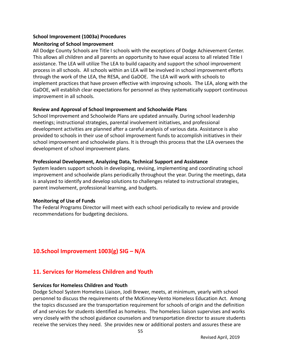#### **School Improvement (1003a) Procedures**

### **Monitoring of School Improvement**

All Dodge County Schools are Title I schools with the exceptions of Dodge Achievement Center. This allows all children and all parents an opportunity to have equal access to all related Title I assistance. The LEA will utilize The LEA to build capacity and support the school improvement process in all schools. All schools within an LEA will be involved in school improvement efforts through the work of the LEA, the RESA, and GaDOE. The LEA will work with schools to implement practices that have proven effective with improving schools. The LEA, along with the GaDOE, will establish clear expectations for personnel as they systematically support continuous improvement in all schools.

### **Review and Approval of School Improvement and Schoolwide Plans**

School Improvement and Schoolwide Plans are updated annually. During school leadership meetings; instructional strategies, parental involvement initiatives, and professional development activities are planned after a careful analysis of various data. Assistance is also provided to schools in their use of school improvement funds to accomplish initiatives in their school improvement and schoolwide plans. It is through this process that the LEA oversees the development of school improvement plans.

# **Professional Development, Analyzing Data, Technical Support and Assistance**

System leaders support schools in developing, revising, implementing and coordinating school improvement and schoolwide plans periodically throughout the year. During the meetings, data is analyzed to identify and develop solutions to challenges related to instructional strategies, parent involvement, professional learning, and budgets.

# **Monitoring of Use of Funds**

The Federal Programs Director will meet with each school periodically to review and provide recommendations for budgeting decisions.

# **10.School Improvement 1003(g) SIG – N/A**

# **11. Services for Homeless Children and Youth**

#### **Services for Homeless Children and Youth**

Dodge School System Homeless Liaison, Jodi Brewer, meets, at minimum, yearly with school personnel to discuss the requirements of the McKinney-Vento Homeless Education Act. Among the topics discussed are the transportation requirement for schools of origin and the definition of and services for students identified as homeless. The homeless liaison supervises and works very closely with the school guidance counselors and transportation director to assure students receive the services they need. She provides new or additional posters and assures these are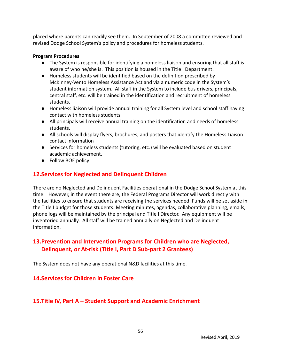placed where parents can readily see them. In September of 2008 a committee reviewed and revised Dodge School System's policy and procedures for homeless students.

#### **Program Procedures**

- The System is responsible for identifying a homeless liaison and ensuring that all staff is aware of who he/she is. This position is housed in the Title I Department.
- Homeless students will be identified based on the definition prescribed by McKinney-Vento Homeless Assistance Act and via a numeric code in the System's student information system. All staff in the System to include bus drivers, principals, central staff, etc. will be trained in the identification and recruitment of homeless students.
- Homeless liaison will provide annual training for all System level and school staff having contact with homeless students.
- All principals will receive annual training on the identification and needs of homeless students.
- All schools will display flyers, brochures, and posters that identify the Homeless Liaison contact information
- Services for homeless students (tutoring, etc.) will be evaluated based on student academic achievement.
- Follow BOE policy

# **12.Services for Neglected and Delinquent Children**

There are no Neglected and Delinquent Facilities operational in the Dodge School System at this time: However, in the event there are, the Federal Programs Director will work directly with the facilities to ensure that students are receiving the services needed. Funds will be set aside in the Title I budget for those students. Meeting minutes, agendas, collaborative planning, emails, phone logs will be maintained by the principal and Title I Director. Any equipment will be inventoried annually. All staff will be trained annually on Neglected and Delinquent information.

# **13.Prevention and Intervention Programs for Children who are Neglected, Delinquent, or At-risk (Title I, Part D Sub-part 2 Grantees)**

The System does not have any operational N&D facilities at this time.

# **14.Services for Children in Foster Care**

# **15.Title IV, Part A – Student Support and Academic Enrichment**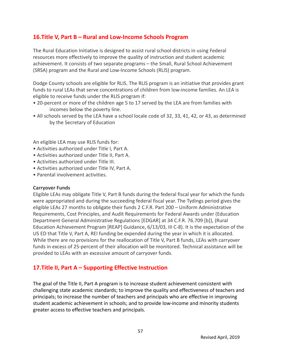# **16.Title V, Part B – Rural and Low-Income Schools Program**

The Rural Education Initiative is designed to assist rural school districts in using Federal resources more effectively to improve the quality of instruction and student academic achievement. It consists of two separate programs – the Small, Rural School Achievement (SRSA) program and the Rural and Low-Income Schools (RLIS) program.

Dodge County schools are eligible for RLIS. The RLIS program is an initiative that provides grant funds to rural LEAs that serve concentrations of children from low-income families. An LEA is eligible to receive funds under the RLIS program if:

- 20-percent or more of the children age 5 to 17 served by the LEA are from families with incomes below the poverty line.
- All schools served by the LEA have a school locale code of 32, 33, 41, 42, or 43, as determined by the Secretary of Education

An eligible LEA may use RLIS funds for:

- Activities authorized under Title I, Part A.
- Activities authorized under Title II, Part A.
- Activities authorized under Title III.
- Activities authorized under Title IV, Part A.
- Parental involvement activities.

#### **Carryover Funds**

Eligible LEAs may obligate Title V, Part B funds during the federal fiscal year for which the funds were appropriated and during the succeeding federal fiscal year. The Tydings period gives the eligible LEAs 27 months to obligate their funds 2 C.F.R. Part 200 – Uniform Administrative Requirements, Cost Principles, and Audit Requirements for Federal Awards under (Education Department General Administrative Regulations [EDGAR] at 34 C.F.R. 76.709 [b]), (Rural Education Achievement Program [REAP] Guidance, 6/13/03, III C-8). It is the expectation of the US ED that Title V, Part A, REI funding be expended during the year in which it is allocated. While there are no provisions for the reallocation of Title V, Part B funds, LEAs with carryover funds in excess of 25-percent of their allocation will be monitored. Technical assistance will be provided to LEAs with an excessive amount of carryover funds.

# **17.Title II, Part A – Supporting Effective Instruction**

The goal of the Title II, Part A program is to increase student achievement consistent with challenging state academic standards; to improve the quality and effectiveness of teachers and principals; to increase the number of teachers and principals who are effective in improving student academic achievement in schools; and to provide low-income and minority students greater access to effective teachers and principals.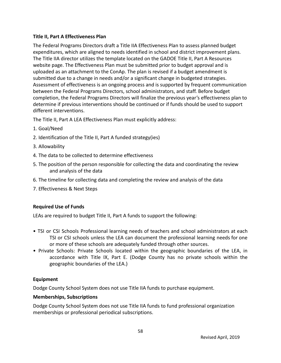## **Title II, Part A Effectiveness Plan**

The Federal Programs Directors draft a Title IIA Effectiveness Plan to assess planned budget expenditures, which are aligned to needs identified in school and district improvement plans. The Title IIA director utilizes the template located on the GADOE Title II, Part A Resources website page. The Effectiveness Plan must be submitted prior to budget approval and is uploaded as an attachment to the ConAp. The plan is revised if a budget amendment is submitted due to a change in needs and/or a significant change in budgeted strategies. Assessment of effectiveness is an ongoing process and is supported by frequent communication between the Federal Programs Directors, school administrators, and staff. Before budget completion, the Federal Programs Directors will finalize the previous year's effectiveness plan to determine if previous interventions should be continued or if funds should be used to support different interventions.

The Title II, Part A LEA Effectiveness Plan must explicitly address:

- 1. Goal/Need
- 2. Identification of the Title II, Part A funded strategy(ies)
- 3. Allowability
- 4. The data to be collected to determine effectiveness
- 5. The position of the person responsible for collecting the data and coordinating the review and analysis of the data
- 6. The timeline for collecting data and completing the review and analysis of the data
- 7. Effectiveness & Next Steps

# **Required Use of Funds**

LEAs are required to budget Title II, Part A funds to support the following:

- TSI or CSI Schools Professional learning needs of teachers and school administrators at each TSI or CSI schools unless the LEA can document the professional learning needs for one or more of these schools are adequately funded through other sources.
- Private Schools: Private Schools located within the geographic boundaries of the LEA, in accordance with Title IX, Part E. (Dodge County has no private schools within the geographic boundaries of the LEA.)

# **Equipment**

Dodge County School System does not use Title IIA funds to purchase equipment.

# **Memberships, Subscriptions**

Dodge County School System does not use Title IIA funds to fund professional organization memberships or professional periodical subscriptions.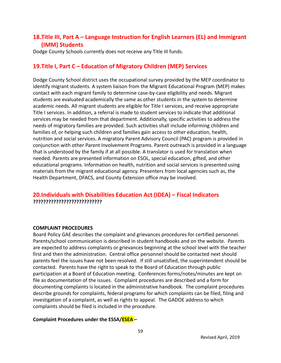# **18.Title III, Part A – Language Instruction for English Learners (EL) and Immigrant (IMM) Students**

Dodge County Schools currently does not receive any Title III funds.

# **19.Title I, Part C – Education of Migratory Children (MEP) Services**

Dodge County School district uses the occupational survey provided by the MEP coordinator to identify migrant students. A system liaison from the Migrant Educational Program (MEP) makes contact with each migrant family to determine case-by-case eligibility and needs. Migrant students are evaluated academically the same as other students in the system to determine academic needs. All migrant students are eligible for Title I services, and receive appropriate Title I services. In addition, a referral is made to student services to indicate that additional services may be needed from that department. Additionally, specific activities to address the needs of migratory families are provided. Such activities shall include informing children and families of, or helping such children and families gain access to other education, health, nutrition and social services. A migratory Parent Advisory Council (PAC) program is provided in conjunction with other Parent Involvement Programs. Parent outreach is provided in a language that is understood by the family if at all possible. A translator is used for translation when needed. Parents are presented information on ESOL, special education, gifted, and other educational programs. Information on health, nutrition and social services is presented using materials from the migrant educational agency. Presenters from local agencies such as, the Health Department, DFACS, and County Extension office may be involved.

# **20.Individuals with Disabilities Education Act (IDEA) – Fiscal Indicators ???????????????????????????**

#### **COMPLAINT PROCEDURES**

Board Policy GAE describes the complaint and grievances procedures for certified personnel. Parents/school communication is described in student handbooks and on the website. Parents are expected to address complaints or grievances beginning at the school level with the teacher first and then the administration. Central office personnel should be contacted next should parents feel the issues have not been resolved. If still unsatisfied, the superintendent should be contacted. Parents have the right to speak to the Board of Education through public participation at a Board of Education meeting. Conferences forms/notes/minutes are kept on file as documentation of the issues. Complaint procedures are described and a form for documenting complaints is located in the administrative handbook. The complaint procedures describe grounds for complaints, federal programs for which complaints can be filed, filing and investigation of a complaint, as well as rights to appeal. The GADOE address to which complaints should be filed is included in the procedure.

#### **Complaint Procedures under the ESSA/ESEA –**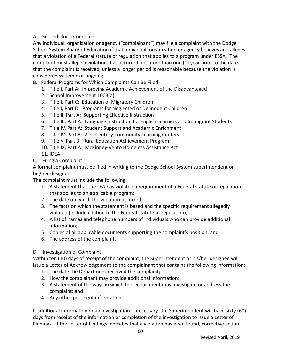# A. Grounds for a Complaint

Any individual, organization or agency ("complainant") may file a complaint with the Dodge School System Board of Education if that individual, organization or agency believes and alleges that a violation of a Federal statute or regulation that applies to a program under ESSA. The complaint must allege a violation that occurred not more than one (1) year prior to the date that the complaint is received, unless a longer period is reasonable because the violation is considered systemic or ongoing.

- B. Federal Programs for Which Complaints Can Be Filed
	- 1. Title I, Part A: Improving Academic Achievement of the Disadvantaged
	- 2. School Improvement 1003(a)
	- 3. Title I, Part C: Education of Migratory Children
	- 4. Title I, Part D: Programs for Neglected or Delinquent Children
	- 5. Title II, Part A: Supporting Effective Instruction
	- 6. Title III, Part A: Language Instruction for English Learners and Immigrant Students
	- 7. Title IV, Part A: Student Support and Academic Enrichment
	- 8. Title IV, Part B: 21st Century Community Learning Centers
	- 9. Title V, Part B: Rural Education Achievement Program
	- 10. Title IX, Part A: McKinney-Vento Homeless Assistance Act
	- 11. IDEA
- C. Filing a Complaint

A formal complaint must be filed in writing to the Dodge School System superintendent or his/her designee.

The complaint must include the following:

- 1. A statement that the LEA has violated a requirement of a Federal statute or regulation that applies to an applicable program;
- 2. The date on which the violation occurred;
- 3. The facts on which the statement is based and the specific requirement allegedly violated (include citation to the Federal statute or regulation);
- 4. A list of names and telephone numbers of individuals who can provide additional information;
- 5. Copies of all applicable documents supporting the complaint's position; and
- 6. The address of the complaint.

# D. Investigation of Complaint

Within ten (10) days of receipt of the complaint, the Superintendent or his/her designee will issue a Letter of Acknowledgement to the complainant that contains the following information:

- 1. The date the Department received the complaint;
- 2. How the complainant may provide additional information;
- 3. A statement of the ways in which the Department may investigate or address the complaint; and
- 4. Any other pertinent information.

If additional information or an investigation is necessary, the Superintendent will have sixty (60) days from receipt of the information or completion of the investigation to issue a Letter of Findings. If the Letter of Findings indicates that a violation has been found, corrective action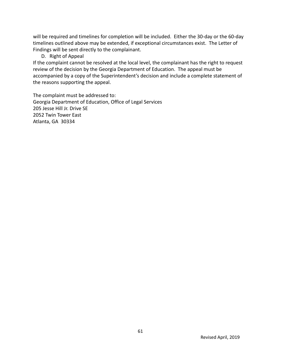will be required and timelines for completion will be included. Either the 30-day or the 60-day timelines outlined above may be extended, if exceptional circumstances exist. The Letter of Findings will be sent directly to the complainant.

D. Right of Appeal

If the complaint cannot be resolved at the local level, the complainant has the right to request review of the decision by the Georgia Department of Education. The appeal must be accompanied by a copy of the Superintendent's decision and include a complete statement of the reasons supporting the appeal.

The complaint must be addressed to: Georgia Department of Education, Office of Legal Services 205 Jesse Hill Jr. Drive SE 2052 Twin Tower East Atlanta, GA 30334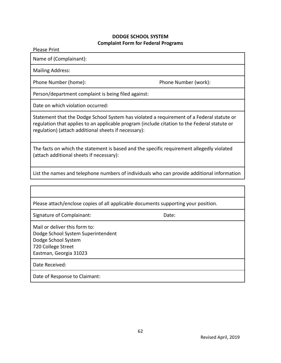#### **DODGE SCHOOL SYSTEM Complaint Form for Federal Programs**

Please Print

Name of (Complainant):

Mailing Address:

Phone Number (home): Phone Number (work):

Person/department complaint is being filed against:

Date on which violation occurred:

Statement that the Dodge School System has violated a requirement of a Federal statute or regulation that applies to an applicable program (include citation to the Federal statute or regulation) (attach additional sheets if necessary):

The facts on which the statement is based and the specific requirement allegedly violated (attach additional sheets if necessary):

List the names and telephone numbers of individuals who can provide additional information

| Please attach/enclose copies of all applicable documents supporting your position.                                                         |       |  |  |
|--------------------------------------------------------------------------------------------------------------------------------------------|-------|--|--|
| Signature of Complainant:                                                                                                                  | Date: |  |  |
| Mail or deliver this form to:<br>Dodge School System Superintendent<br>Dodge School System<br>720 College Street<br>Eastman, Georgia 31023 |       |  |  |
| Date Received:                                                                                                                             |       |  |  |
| Date of Response to Claimant:                                                                                                              |       |  |  |